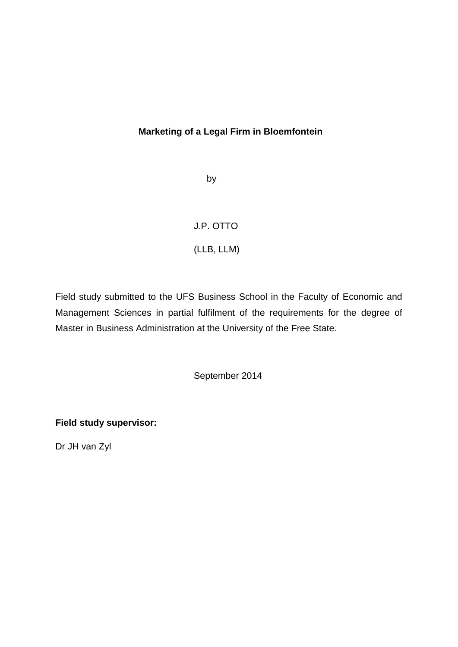## **Marketing of a Legal Firm in Bloemfontein**

by

## J.P. OTTO

## (LLB, LLM)

Field study submitted to the UFS Business School in the Faculty of Economic and Management Sciences in partial fulfilment of the requirements for the degree of Master in Business Administration at the University of the Free State.

September 2014

**Field study supervisor:**

Dr JH van Zyl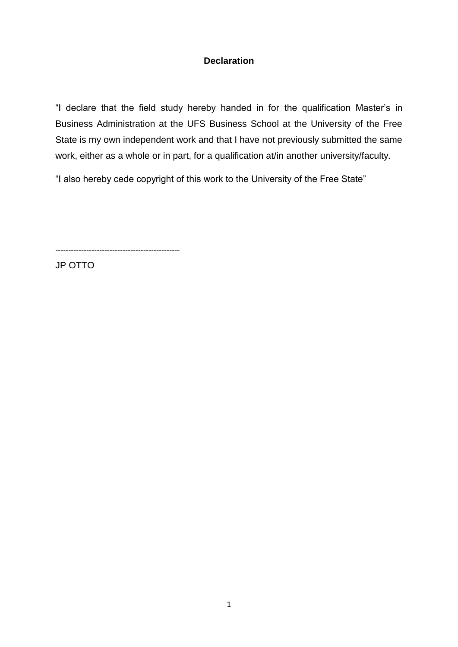## **Declaration**

"I declare that the field study hereby handed in for the qualification Master's in Business Administration at the UFS Business School at the University of the Free State is my own independent work and that I have not previously submitted the same work, either as a whole or in part, for a qualification at/in another university/faculty.

"I also hereby cede copyright of this work to the University of the Free State"

------------------------------------------------

JP OTTO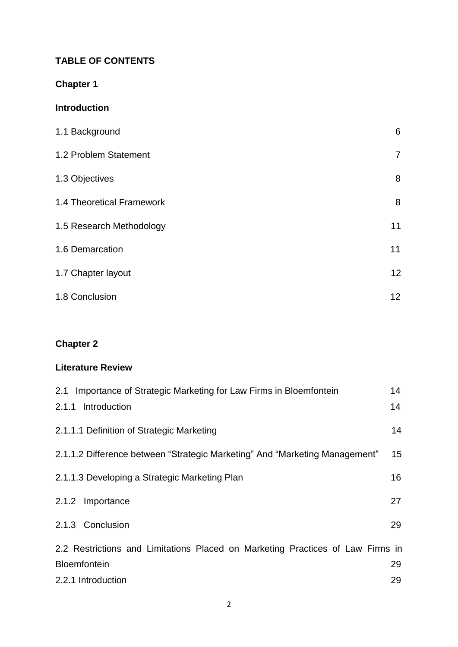## **TABLE OF CONTENTS**

# **Chapter 1**

## **Introduction**

| 1.1 Background            | 6              |
|---------------------------|----------------|
| 1.2 Problem Statement     | $\overline{7}$ |
| 1.3 Objectives            | 8              |
| 1.4 Theoretical Framework | 8              |
| 1.5 Research Methodology  | 11             |
| 1.6 Demarcation           | 11             |
| 1.7 Chapter layout        | 12             |
| 1.8 Conclusion            | 12             |

# **Chapter 2**

## **Literature Review**

| Importance of Strategic Marketing for Law Firms in Bloemfontein<br>2.1         | 14              |
|--------------------------------------------------------------------------------|-----------------|
| 2.1.1<br>Introduction                                                          | 14              |
| 2.1.1.1 Definition of Strategic Marketing                                      | 14              |
| 2.1.1.2 Difference between "Strategic Marketing" And "Marketing Management"    | 15 <sub>2</sub> |
| 2.1.1.3 Developing a Strategic Marketing Plan                                  | 16              |
| 2.1.2 Importance                                                               | 27              |
| 2.1.3 Conclusion                                                               | 29              |
| 2.2 Restrictions and Limitations Placed on Marketing Practices of Law Firms in |                 |
| <b>Bloemfontein</b>                                                            | 29              |
| 2.2.1 Introduction                                                             | 29              |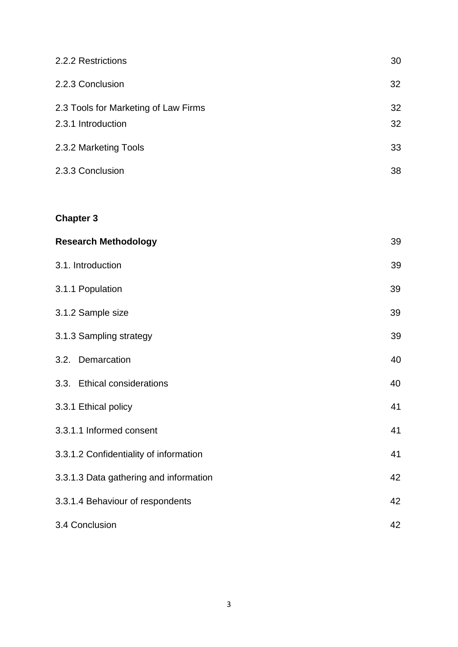| 2.2.2 Restrictions                                         | 30       |
|------------------------------------------------------------|----------|
| 2.2.3 Conclusion                                           | 32       |
| 2.3 Tools for Marketing of Law Firms<br>2.3.1 Introduction | 32<br>32 |
| 2.3.2 Marketing Tools                                      | 33       |
| 2.3.3 Conclusion                                           | 38       |
|                                                            |          |
| <b>Chapter 3</b>                                           |          |
| <b>Research Methodology</b>                                | 39       |
| 3.1. Introduction                                          | 39       |
| 3.1.1 Population                                           | 39       |
| 3.1.2 Sample size                                          | 39       |
| 3.1.3 Sampling strategy                                    | 39       |
| 3.2. Demarcation                                           | 40       |
| <b>Ethical considerations</b><br>3.3.                      | 40       |
| 3.3.1 Ethical policy                                       | 41       |
| 3.3.1.1 Informed consent                                   | 41       |
| 3.3.1.2 Confidentiality of information                     | 41       |
| 3.3.1.3 Data gathering and information                     | 42       |
| 3.3.1.4 Behaviour of respondents                           | 42       |
| 3.4 Conclusion                                             | 42       |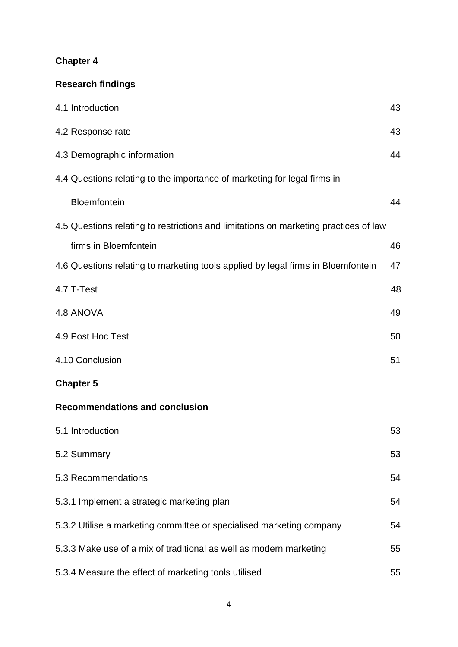# **Chapter 4**

# **Research findings**

| 4.1 Introduction                                                                     | 43 |
|--------------------------------------------------------------------------------------|----|
| 4.2 Response rate                                                                    | 43 |
| 4.3 Demographic information                                                          | 44 |
| 4.4 Questions relating to the importance of marketing for legal firms in             |    |
| Bloemfontein                                                                         | 44 |
| 4.5 Questions relating to restrictions and limitations on marketing practices of law |    |
| firms in Bloemfontein                                                                | 46 |
| 4.6 Questions relating to marketing tools applied by legal firms in Bloemfontein     | 47 |
| 4.7 T-Test                                                                           | 48 |
| 4.8 ANOVA                                                                            | 49 |
| 4.9 Post Hoc Test                                                                    | 50 |
| 4.10 Conclusion                                                                      | 51 |
| <b>Chapter 5</b>                                                                     |    |
| <b>Recommendations and conclusion</b>                                                |    |
| 5.1 Introduction                                                                     | 53 |
| 5.2 Summary                                                                          | 53 |
| 5.3 Recommendations                                                                  | 54 |
| 5.3.1 Implement a strategic marketing plan                                           | 54 |
| 5.3.2 Utilise a marketing committee or specialised marketing company                 | 54 |
| 5.3.3 Make use of a mix of traditional as well as modern marketing                   | 55 |
| 5.3.4 Measure the effect of marketing tools utilised                                 | 55 |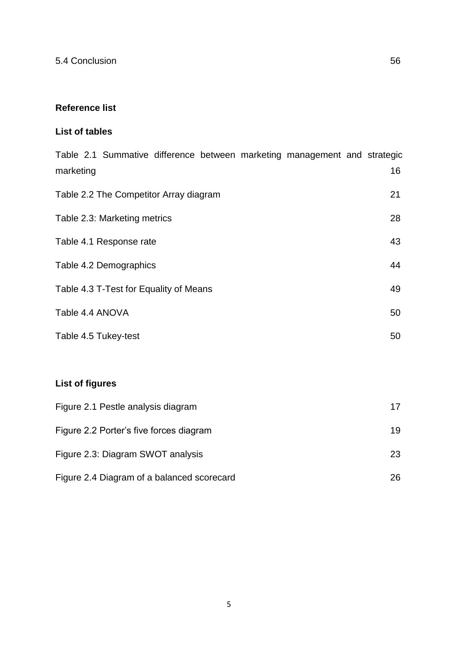## **Reference list**

## **List of tables**

| Table 2.1 Summative difference between marketing management and strategic<br>marketing | 16 |
|----------------------------------------------------------------------------------------|----|
| Table 2.2 The Competitor Array diagram                                                 | 21 |
| Table 2.3: Marketing metrics                                                           | 28 |
| Table 4.1 Response rate                                                                | 43 |
| Table 4.2 Demographics                                                                 | 44 |
| Table 4.3 T-Test for Equality of Means                                                 | 49 |
| Table 4.4 ANOVA                                                                        | 50 |
| Table 4.5 Tukey-test                                                                   | 50 |
|                                                                                        |    |
| <b>List of figures</b>                                                                 |    |

| Figure 2.1 Pestle analysis diagram         | 17 |
|--------------------------------------------|----|
| Figure 2.2 Porter's five forces diagram    | 19 |
| Figure 2.3: Diagram SWOT analysis          | 23 |
| Figure 2.4 Diagram of a balanced scorecard | 26 |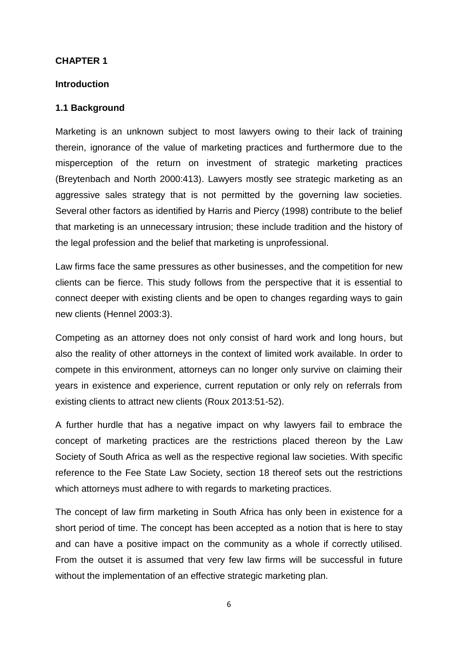#### **CHAPTER 1**

#### **Introduction**

#### **1.1 Background**

Marketing is an unknown subject to most lawyers owing to their lack of training therein, ignorance of the value of marketing practices and furthermore due to the misperception of the return on investment of strategic marketing practices (Breytenbach and North 2000:413). Lawyers mostly see strategic marketing as an aggressive sales strategy that is not permitted by the governing law societies. Several other factors as identified by Harris and Piercy (1998) contribute to the belief that marketing is an unnecessary intrusion; these include tradition and the history of the legal profession and the belief that marketing is unprofessional.

Law firms face the same pressures as other businesses, and the competition for new clients can be fierce. This study follows from the perspective that it is essential to connect deeper with existing clients and be open to changes regarding ways to gain new clients (Hennel 2003:3).

Competing as an attorney does not only consist of hard work and long hours, but also the reality of other attorneys in the context of limited work available. In order to compete in this environment, attorneys can no longer only survive on claiming their years in existence and experience, current reputation or only rely on referrals from existing clients to attract new clients (Roux 2013:51-52).

A further hurdle that has a negative impact on why lawyers fail to embrace the concept of marketing practices are the restrictions placed thereon by the Law Society of South Africa as well as the respective regional law societies. With specific reference to the Fee State Law Society, section 18 thereof sets out the restrictions which attorneys must adhere to with regards to marketing practices.

The concept of law firm marketing in South Africa has only been in existence for a short period of time. The concept has been accepted as a notion that is here to stay and can have a positive impact on the community as a whole if correctly utilised. From the outset it is assumed that very few law firms will be successful in future without the implementation of an effective strategic marketing plan.

6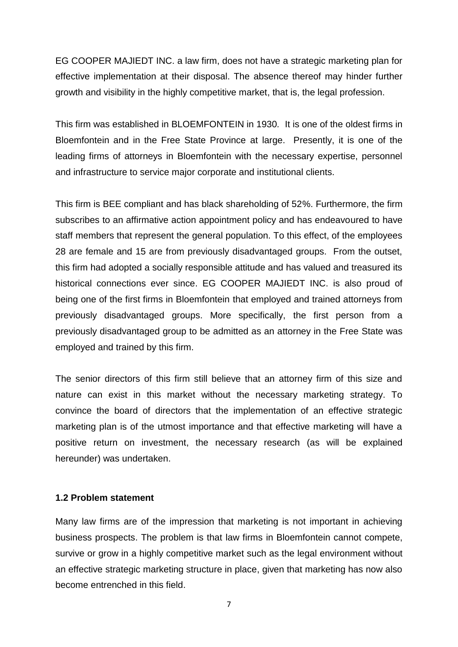EG COOPER MAJIEDT INC. a law firm, does not have a strategic marketing plan for effective implementation at their disposal. The absence thereof may hinder further growth and visibility in the highly competitive market, that is, the legal profession.

This firm was established in BLOEMFONTEIN in 1930*.* It is one of the oldest firms in Bloemfontein and in the Free State Province at large. Presently, it is one of the leading firms of attorneys in Bloemfontein with the necessary expertise, personnel and infrastructure to service major corporate and institutional clients.

This firm is BEE compliant and has black shareholding of 52%. Furthermore, the firm subscribes to an affirmative action appointment policy and has endeavoured to have staff members that represent the general population. To this effect, of the employees 28 are female and 15 are from previously disadvantaged groups. From the outset, this firm had adopted a socially responsible attitude and has valued and treasured its historical connections ever since. EG COOPER MAJIEDT INC. is also proud of being one of the first firms in Bloemfontein that employed and trained attorneys from previously disadvantaged groups. More specifically, the first person from a previously disadvantaged group to be admitted as an attorney in the Free State was employed and trained by this firm.

The senior directors of this firm still believe that an attorney firm of this size and nature can exist in this market without the necessary marketing strategy. To convince the board of directors that the implementation of an effective strategic marketing plan is of the utmost importance and that effective marketing will have a positive return on investment, the necessary research (as will be explained hereunder) was undertaken.

#### **1.2 Problem statement**

Many law firms are of the impression that marketing is not important in achieving business prospects. The problem is that law firms in Bloemfontein cannot compete, survive or grow in a highly competitive market such as the legal environment without an effective strategic marketing structure in place, given that marketing has now also become entrenched in this field.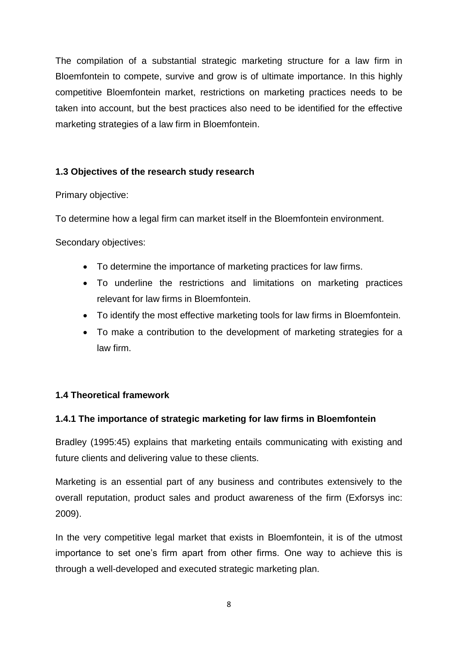The compilation of a substantial strategic marketing structure for a law firm in Bloemfontein to compete, survive and grow is of ultimate importance. In this highly competitive Bloemfontein market, restrictions on marketing practices needs to be taken into account, but the best practices also need to be identified for the effective marketing strategies of a law firm in Bloemfontein.

## **1.3 Objectives of the research study research**

Primary objective:

To determine how a legal firm can market itself in the Bloemfontein environment.

Secondary objectives:

- To determine the importance of marketing practices for law firms.
- To underline the restrictions and limitations on marketing practices relevant for law firms in Bloemfontein.
- To identify the most effective marketing tools for law firms in Bloemfontein.
- To make a contribution to the development of marketing strategies for a law firm.

## **1.4 Theoretical framework**

## **1.4.1 The importance of strategic marketing for law firms in Bloemfontein**

Bradley (1995:45) explains that marketing entails communicating with existing and future clients and delivering value to these clients.

Marketing is an essential part of any business and contributes extensively to the overall reputation, product sales and product awareness of the firm (Exforsys inc: 2009).

In the very competitive legal market that exists in Bloemfontein, it is of the utmost importance to set one's firm apart from other firms. One way to achieve this is through a well-developed and executed strategic marketing plan.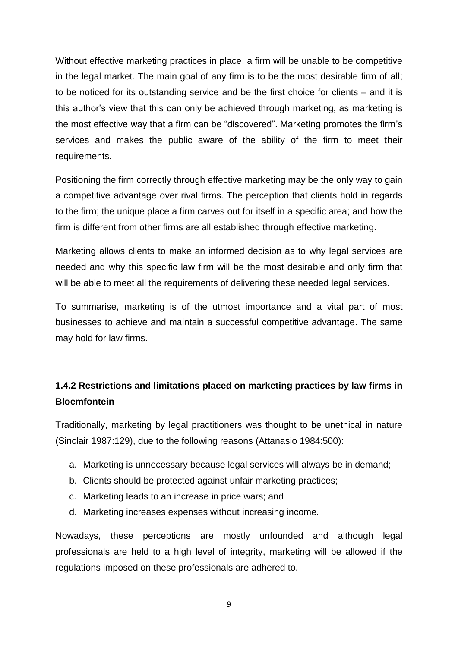Without effective marketing practices in place, a firm will be unable to be competitive in the legal market. The main goal of any firm is to be the most desirable firm of all; to be noticed for its outstanding service and be the first choice for clients – and it is this author's view that this can only be achieved through marketing, as marketing is the most effective way that a firm can be "discovered". Marketing promotes the firm's services and makes the public aware of the ability of the firm to meet their requirements.

Positioning the firm correctly through effective marketing may be the only way to gain a competitive advantage over rival firms. The perception that clients hold in regards to the firm; the unique place a firm carves out for itself in a specific area; and how the firm is different from other firms are all established through effective marketing.

Marketing allows clients to make an informed decision as to why legal services are needed and why this specific law firm will be the most desirable and only firm that will be able to meet all the requirements of delivering these needed legal services.

To summarise, marketing is of the utmost importance and a vital part of most businesses to achieve and maintain a successful competitive advantage. The same may hold for law firms.

## **1.4.2 Restrictions and limitations placed on marketing practices by law firms in Bloemfontein**

Traditionally, marketing by legal practitioners was thought to be unethical in nature (Sinclair 1987:129), due to the following reasons (Attanasio 1984:500):

- a. Marketing is unnecessary because legal services will always be in demand;
- b. Clients should be protected against unfair marketing practices;
- c. Marketing leads to an increase in price wars; and
- d. Marketing increases expenses without increasing income.

Nowadays, these perceptions are mostly unfounded and although legal professionals are held to a high level of integrity, marketing will be allowed if the regulations imposed on these professionals are adhered to.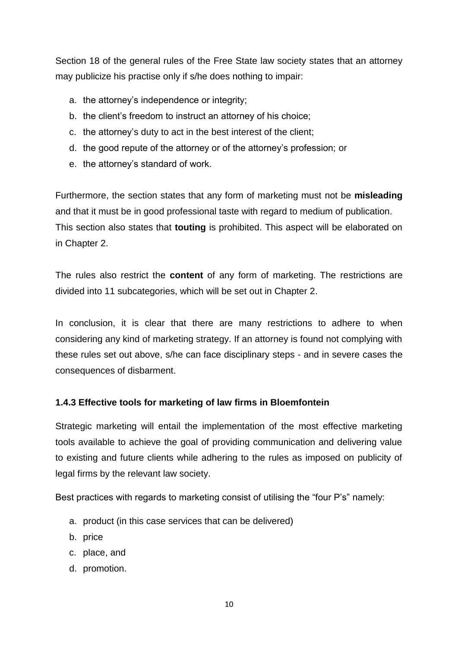Section 18 of the general rules of the Free State law society states that an attorney may publicize his practise only if s/he does nothing to impair:

- a. the attorney's independence or integrity;
- b. the client's freedom to instruct an attorney of his choice;
- c. the attorney's duty to act in the best interest of the client;
- d. the good repute of the attorney or of the attorney's profession; or
- e. the attorney's standard of work.

Furthermore, the section states that any form of marketing must not be **misleading** and that it must be in good professional taste with regard to medium of publication. This section also states that **touting** is prohibited. This aspect will be elaborated on in Chapter 2.

The rules also restrict the **content** of any form of marketing. The restrictions are divided into 11 subcategories, which will be set out in Chapter 2.

In conclusion, it is clear that there are many restrictions to adhere to when considering any kind of marketing strategy. If an attorney is found not complying with these rules set out above, s/he can face disciplinary steps - and in severe cases the consequences of disbarment.

## **1.4.3 Effective tools for marketing of law firms in Bloemfontein**

Strategic marketing will entail the implementation of the most effective marketing tools available to achieve the goal of providing communication and delivering value to existing and future clients while adhering to the rules as imposed on publicity of legal firms by the relevant law society.

Best practices with regards to marketing consist of utilising the "four P's" namely:

- a. product (in this case services that can be delivered)
- b. price
- c. place, and
- d. promotion.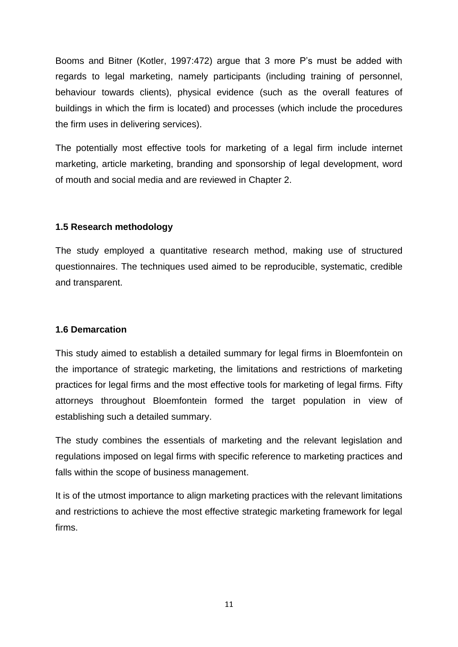Booms and Bitner (Kotler, 1997:472) argue that 3 more P's must be added with regards to legal marketing, namely participants (including training of personnel, behaviour towards clients), physical evidence (such as the overall features of buildings in which the firm is located) and processes (which include the procedures the firm uses in delivering services).

The potentially most effective tools for marketing of a legal firm include internet marketing, article marketing, branding and sponsorship of legal development, word of mouth and social media and are reviewed in Chapter 2.

## **1.5 Research methodology**

The study employed a quantitative research method, making use of structured questionnaires. The techniques used aimed to be reproducible, systematic, credible and transparent.

## **1.6 Demarcation**

This study aimed to establish a detailed summary for legal firms in Bloemfontein on the importance of strategic marketing, the limitations and restrictions of marketing practices for legal firms and the most effective tools for marketing of legal firms. Fifty attorneys throughout Bloemfontein formed the target population in view of establishing such a detailed summary.

The study combines the essentials of marketing and the relevant legislation and regulations imposed on legal firms with specific reference to marketing practices and falls within the scope of business management.

It is of the utmost importance to align marketing practices with the relevant limitations and restrictions to achieve the most effective strategic marketing framework for legal firms.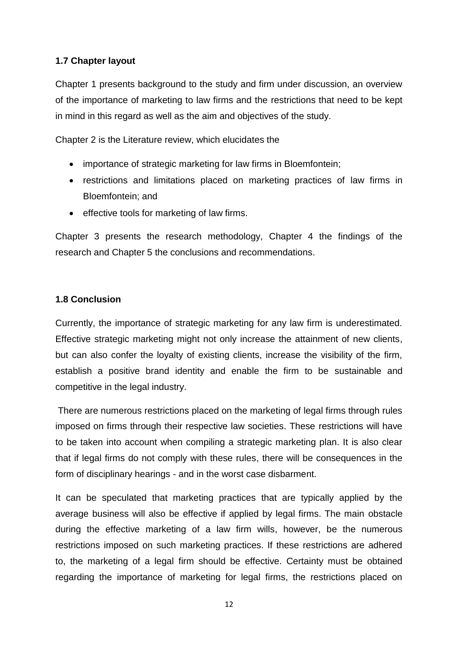## **1.7 Chapter layout**

Chapter 1 presents background to the study and firm under discussion, an overview of the importance of marketing to law firms and the restrictions that need to be kept in mind in this regard as well as the aim and objectives of the study.

Chapter 2 is the Literature review, which elucidates the

- importance of strategic marketing for law firms in Bloemfontein;
- restrictions and limitations placed on marketing practices of law firms in Bloemfontein; and
- effective tools for marketing of law firms.

Chapter 3 presents the research methodology, Chapter 4 the findings of the research and Chapter 5 the conclusions and recommendations.

## **1.8 Conclusion**

Currently, the importance of strategic marketing for any law firm is underestimated. Effective strategic marketing might not only increase the attainment of new clients, but can also confer the loyalty of existing clients, increase the visibility of the firm, establish a positive brand identity and enable the firm to be sustainable and competitive in the legal industry.

There are numerous restrictions placed on the marketing of legal firms through rules imposed on firms through their respective law societies. These restrictions will have to be taken into account when compiling a strategic marketing plan. It is also clear that if legal firms do not comply with these rules, there will be consequences in the form of disciplinary hearings - and in the worst case disbarment.

It can be speculated that marketing practices that are typically applied by the average business will also be effective if applied by legal firms. The main obstacle during the effective marketing of a law firm wills, however, be the numerous restrictions imposed on such marketing practices. If these restrictions are adhered to, the marketing of a legal firm should be effective. Certainty must be obtained regarding the importance of marketing for legal firms, the restrictions placed on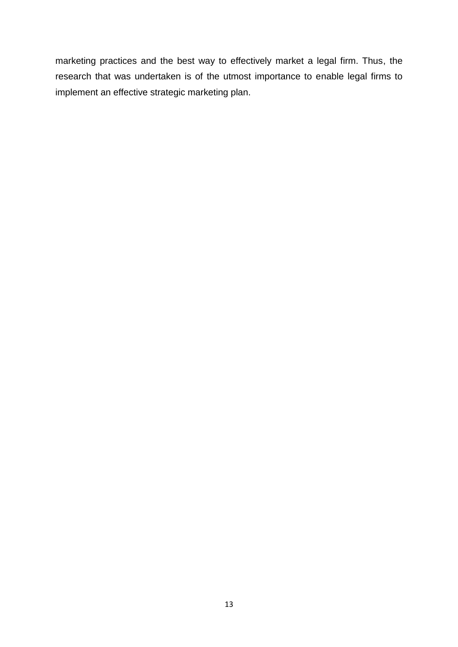marketing practices and the best way to effectively market a legal firm. Thus, the research that was undertaken is of the utmost importance to enable legal firms to implement an effective strategic marketing plan.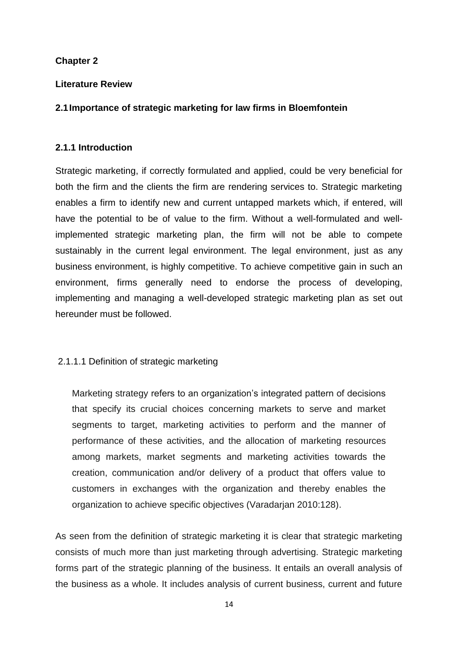## **Chapter 2**

#### **Literature Review**

## **2.1Importance of strategic marketing for law firms in Bloemfontein**

#### **2.1.1 Introduction**

Strategic marketing, if correctly formulated and applied, could be very beneficial for both the firm and the clients the firm are rendering services to. Strategic marketing enables a firm to identify new and current untapped markets which, if entered, will have the potential to be of value to the firm. Without a well-formulated and wellimplemented strategic marketing plan, the firm will not be able to compete sustainably in the current legal environment. The legal environment, just as any business environment, is highly competitive. To achieve competitive gain in such an environment, firms generally need to endorse the process of developing, implementing and managing a well-developed strategic marketing plan as set out hereunder must be followed.

## 2.1.1.1 Definition of strategic marketing

Marketing strategy refers to an organization's integrated pattern of decisions that specify its crucial choices concerning markets to serve and market segments to target, marketing activities to perform and the manner of performance of these activities, and the allocation of marketing resources among markets, market segments and marketing activities towards the creation, communication and/or delivery of a product that offers value to customers in exchanges with the organization and thereby enables the organization to achieve specific objectives (Varadarjan 2010:128).

As seen from the definition of strategic marketing it is clear that strategic marketing consists of much more than just marketing through advertising. Strategic marketing forms part of the strategic planning of the business. It entails an overall analysis of the business as a whole. It includes analysis of current business, current and future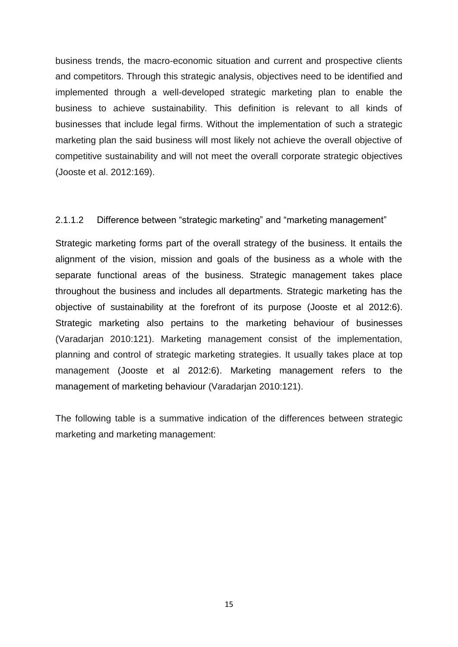business trends, the macro-economic situation and current and prospective clients and competitors. Through this strategic analysis, objectives need to be identified and implemented through a well-developed strategic marketing plan to enable the business to achieve sustainability. This definition is relevant to all kinds of businesses that include legal firms. Without the implementation of such a strategic marketing plan the said business will most likely not achieve the overall objective of competitive sustainability and will not meet the overall corporate strategic objectives (Jooste et al. 2012:169).

#### 2.1.1.2 Difference between "strategic marketing" and "marketing management"

Strategic marketing forms part of the overall strategy of the business. It entails the alignment of the vision, mission and goals of the business as a whole with the separate functional areas of the business. Strategic management takes place throughout the business and includes all departments. Strategic marketing has the objective of sustainability at the forefront of its purpose (Jooste et al 2012:6). Strategic marketing also pertains to the marketing behaviour of businesses (Varadarjan 2010:121). Marketing management consist of the implementation, planning and control of strategic marketing strategies. It usually takes place at top management (Jooste et al 2012:6). Marketing management refers to the management of marketing behaviour (Varadarjan 2010:121).

The following table is a summative indication of the differences between strategic marketing and marketing management:

15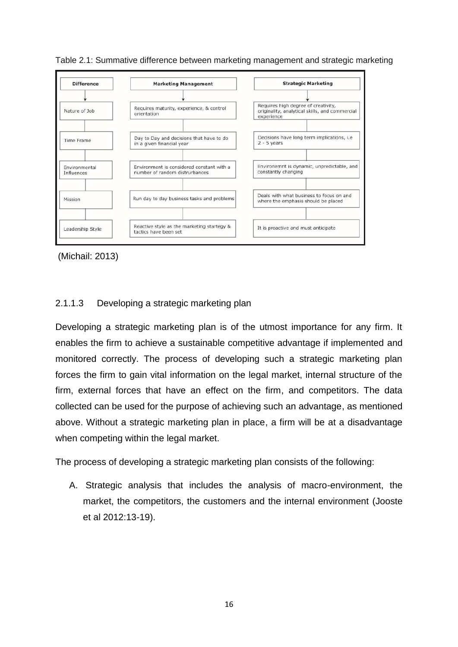

Table 2.1: Summative difference between marketing management and strategic marketing

(Michail: 2013)

## 2.1.1.3 Developing a strategic marketing plan

Developing a strategic marketing plan is of the utmost importance for any firm. It enables the firm to achieve a sustainable competitive advantage if implemented and monitored correctly. The process of developing such a strategic marketing plan forces the firm to gain vital information on the legal market, internal structure of the firm, external forces that have an effect on the firm, and competitors. The data collected can be used for the purpose of achieving such an advantage, as mentioned above. Without a strategic marketing plan in place, a firm will be at a disadvantage when competing within the legal market.

The process of developing a strategic marketing plan consists of the following:

A. Strategic analysis that includes the analysis of macro-environment, the market, the competitors, the customers and the internal environment (Jooste et al 2012:13-19).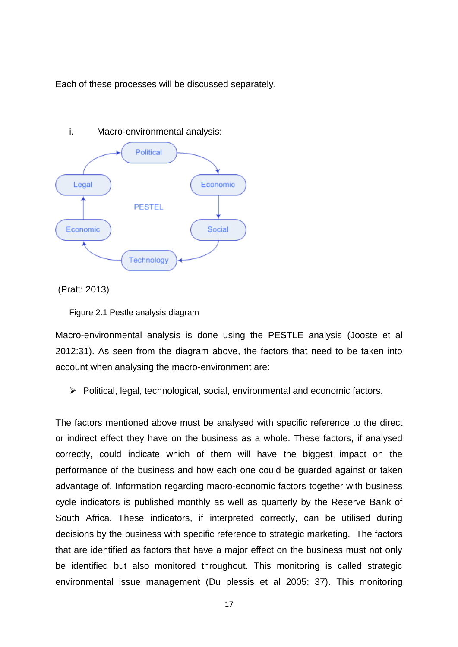Each of these processes will be discussed separately.



(Pratt: 2013)

Figure 2.1 Pestle analysis diagram

Macro-environmental analysis is done using the PESTLE analysis (Jooste et al 2012:31). As seen from the diagram above, the factors that need to be taken into account when analysing the macro-environment are:

 $\triangleright$  Political, legal, technological, social, environmental and economic factors.

The factors mentioned above must be analysed with specific reference to the direct or indirect effect they have on the business as a whole. These factors, if analysed correctly, could indicate which of them will have the biggest impact on the performance of the business and how each one could be guarded against or taken advantage of. Information regarding macro-economic factors together with business cycle indicators is published monthly as well as quarterly by the Reserve Bank of South Africa. These indicators, if interpreted correctly, can be utilised during decisions by the business with specific reference to strategic marketing. The factors that are identified as factors that have a major effect on the business must not only be identified but also monitored throughout. This monitoring is called strategic environmental issue management (Du plessis et al 2005: 37). This monitoring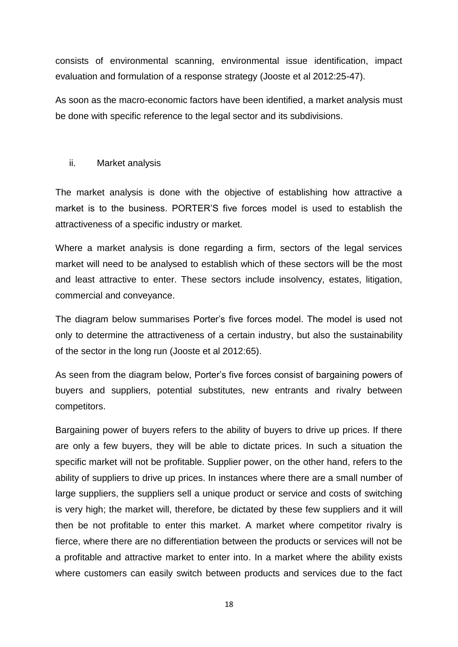consists of environmental scanning, environmental issue identification, impact evaluation and formulation of a response strategy (Jooste et al 2012:25-47).

As soon as the macro-economic factors have been identified, a market analysis must be done with specific reference to the legal sector and its subdivisions.

#### ii. Market analysis

The market analysis is done with the objective of establishing how attractive a market is to the business. PORTER'S five forces model is used to establish the attractiveness of a specific industry or market.

Where a market analysis is done regarding a firm, sectors of the legal services market will need to be analysed to establish which of these sectors will be the most and least attractive to enter. These sectors include insolvency, estates, litigation, commercial and conveyance.

The diagram below summarises Porter's five forces model. The model is used not only to determine the attractiveness of a certain industry, but also the sustainability of the sector in the long run (Jooste et al 2012:65).

As seen from the diagram below, Porter's five forces consist of bargaining powers of buyers and suppliers, potential substitutes, new entrants and rivalry between competitors.

Bargaining power of buyers refers to the ability of buyers to drive up prices. If there are only a few buyers, they will be able to dictate prices. In such a situation the specific market will not be profitable. Supplier power, on the other hand, refers to the ability of suppliers to drive up prices. In instances where there are a small number of large suppliers, the suppliers sell a unique product or service and costs of switching is very high; the market will, therefore, be dictated by these few suppliers and it will then be not profitable to enter this market. A market where competitor rivalry is fierce, where there are no differentiation between the products or services will not be a profitable and attractive market to enter into. In a market where the ability exists where customers can easily switch between products and services due to the fact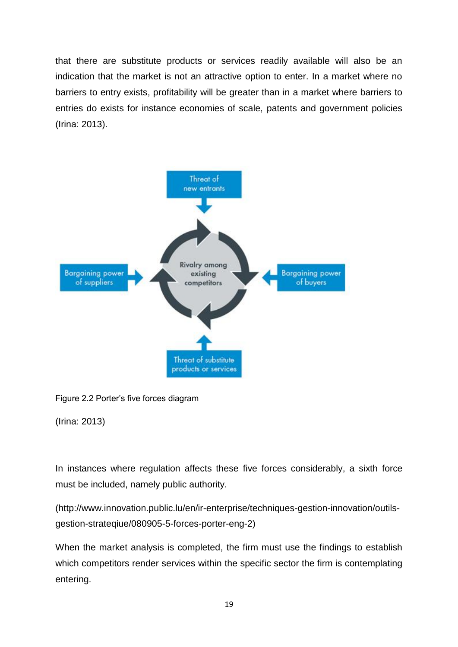that there are substitute products or services readily available will also be an indication that the market is not an attractive option to enter. In a market where no barriers to entry exists, profitability will be greater than in a market where barriers to entries do exists for instance economies of scale, patents and government policies (Irina: 2013).



Figure 2.2 Porter's five forces diagram

(Irina: 2013)

In instances where regulation affects these five forces considerably, a sixth force must be included, namely public authority.

[\(http://www.innovation.public.lu/en/ir-enterprise/techniques-gestion-innovation/outils](http://www.innovation.public.lu/en/ir-enterprise/techniques-gestion-innovation/outils-gestion-strateqiue/080905-5-forces-porter-eng-2)[gestion-strateqiue/080905-5-forces-porter-eng-2\)](http://www.innovation.public.lu/en/ir-enterprise/techniques-gestion-innovation/outils-gestion-strateqiue/080905-5-forces-porter-eng-2)

When the market analysis is completed, the firm must use the findings to establish which competitors render services within the specific sector the firm is contemplating entering.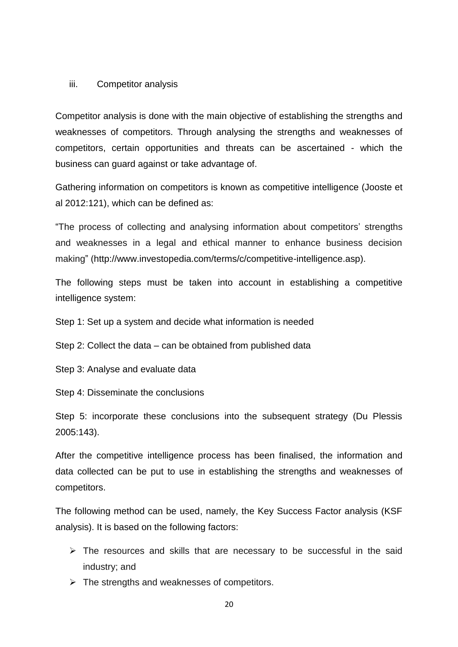#### iii. Competitor analysis

Competitor analysis is done with the main objective of establishing the strengths and weaknesses of competitors. Through analysing the strengths and weaknesses of competitors, certain opportunities and threats can be ascertained - which the business can guard against or take advantage of.

Gathering information on competitors is known as competitive intelligence (Jooste et al 2012:121), which can be defined as:

"The process of collecting and analysing information about competitors' strengths and weaknesses in a legal and ethical manner to enhance business decision making" [\(http://www.investopedia.com/terms/c/competitive-intelligence.asp\)](http://www.investopedia.com/terms/c/competitive-intelligence.asp).

The following steps must be taken into account in establishing a competitive intelligence system:

Step 1: Set up a system and decide what information is needed

Step 2: Collect the data – can be obtained from published data

Step 3: Analyse and evaluate data

Step 4: Disseminate the conclusions

Step 5: incorporate these conclusions into the subsequent strategy (Du Plessis 2005:143).

After the competitive intelligence process has been finalised, the information and data collected can be put to use in establishing the strengths and weaknesses of competitors.

The following method can be used, namely, the Key Success Factor analysis (KSF analysis). It is based on the following factors:

- $\triangleright$  The resources and skills that are necessary to be successful in the said industry; and
- $\triangleright$  The strengths and weaknesses of competitors.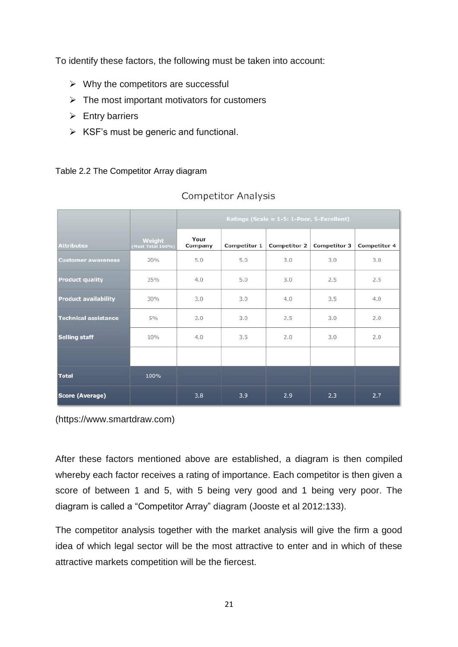To identify these factors, the following must be taken into account:

- $\triangleright$  Why the competitors are successful
- $\triangleright$  The most important motivators for customers
- $\triangleright$  Entry barriers
- $\triangleright$  KSF's must be generic and functional.

#### Table 2.2 The Competitor Array diagram

|                             |                             | Ratings (Scale = 1-5: 1-Poor, 5-Excellent) |              |                     |              |              |
|-----------------------------|-----------------------------|--------------------------------------------|--------------|---------------------|--------------|--------------|
| <b>Attributes</b>           | Weight<br>(Must Total 100%) | Your<br>Company                            | Competitor 1 | <b>Competitor 2</b> | Competitor 3 | Competitor 4 |
| <b>Customer awareness</b>   | 20%                         | 5.0                                        | 5.0          | 3.0                 | 3.0          | 3.0          |
| <b>Product quality</b>      | 35%                         | 4.0                                        | 5.0          | 3.0                 | 2.5          | 2.5          |
| <b>Product availability</b> | 30%                         | 3.0                                        | 3.0          | 4.0                 | 3.5          | 4.0          |
| <b>Technical assistance</b> | 5%                          | 3.0                                        | 3.0          | 2.5                 | 3.0          | 2.0          |
| <b>Selling staff</b>        | 10%                         | 4.0                                        | 3.5          | 2.0                 | 3.0          | 2.0          |
| <b>Total</b>                | 100%                        |                                            |              |                     |              |              |
| Score (Average)             |                             | 3.8                                        | 3.9          | 2.9                 | 2.3          | 2.7          |

## **Competitor Analysis**

(https://www.smartdraw.com)

After these factors mentioned above are established, a diagram is then compiled whereby each factor receives a rating of importance. Each competitor is then given a score of between 1 and 5, with 5 being very good and 1 being very poor. The diagram is called a "Competitor Array" diagram (Jooste et al 2012:133).

The competitor analysis together with the market analysis will give the firm a good idea of which legal sector will be the most attractive to enter and in which of these attractive markets competition will be the fiercest.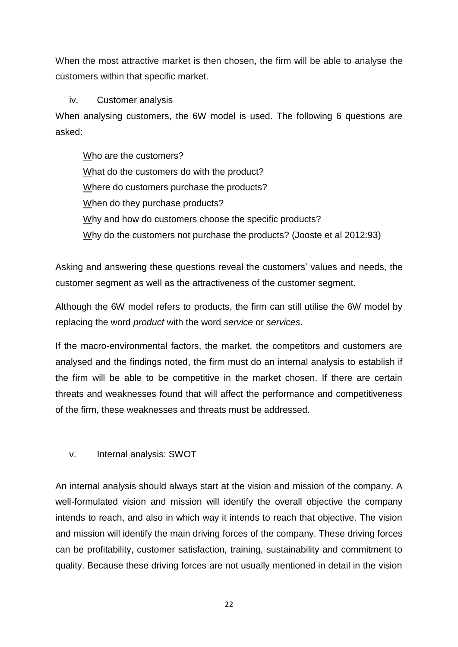When the most attractive market is then chosen, the firm will be able to analyse the customers within that specific market.

## iv. Customer analysis

When analysing customers, the 6W model is used. The following 6 questions are asked:

Who are the customers? What do the customers do with the product? Where do customers purchase the products? When do they purchase products? Why and how do customers choose the specific products? Why do the customers not purchase the products? (Jooste et al 2012:93)

Asking and answering these questions reveal the customers' values and needs, the customer segment as well as the attractiveness of the customer segment.

Although the 6W model refers to products, the firm can still utilise the 6W model by replacing the word *product* with the word *service* or *services*.

If the macro-environmental factors, the market, the competitors and customers are analysed and the findings noted, the firm must do an internal analysis to establish if the firm will be able to be competitive in the market chosen. If there are certain threats and weaknesses found that will affect the performance and competitiveness of the firm, these weaknesses and threats must be addressed.

v. Internal analysis: SWOT

An internal analysis should always start at the vision and mission of the company. A well-formulated vision and mission will identify the overall objective the company intends to reach, and also in which way it intends to reach that objective. The vision and mission will identify the main driving forces of the company. These driving forces can be profitability, customer satisfaction, training, sustainability and commitment to quality. Because these driving forces are not usually mentioned in detail in the vision

22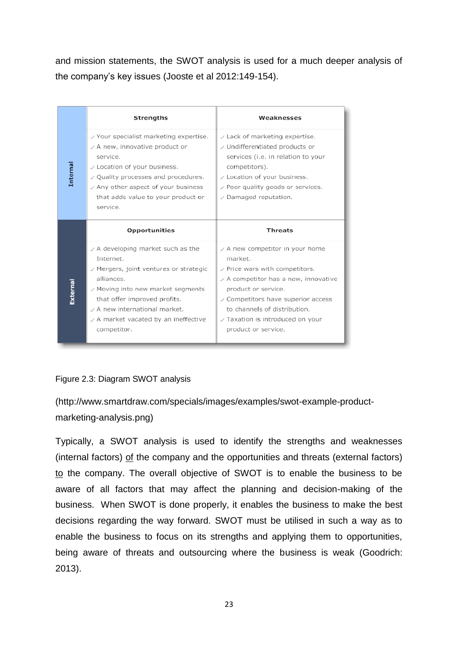and mission statements, the SWOT analysis is used for a much deeper analysis of the company's key issues (Jooste et al 2012:149-154).

|          | Strengths                                                                                                                                                                                                                                                                                                                | Weaknesses                                                                                                                                                                                                                                                                                               |
|----------|--------------------------------------------------------------------------------------------------------------------------------------------------------------------------------------------------------------------------------------------------------------------------------------------------------------------------|----------------------------------------------------------------------------------------------------------------------------------------------------------------------------------------------------------------------------------------------------------------------------------------------------------|
| Internal | $\vee$ Your specialist marketing expertise.<br>$\vee$ A new, innovative product or<br>service.<br>$\vee$ Location of your business.<br>$\vee$ Quality processes and procedures.<br>$\sqrt{2}$ Any other aspect of your business<br>that adds value to your product or<br>service.                                        | $\vee$ Lack of marketing expertise.<br>√ Undifferentiated products or<br>services (i.e. in relation to your<br>competitors).<br>$\vee$ Location of your business.<br>$\vee$ Poor quality goods or services.<br>$\vee$ Damaged reputation.                                                                |
|          | <b>Opportunities</b>                                                                                                                                                                                                                                                                                                     | <b>Threats</b>                                                                                                                                                                                                                                                                                           |
| External | $\vee$ A developing market such as the<br>Internet.<br>$\mathord{\hspace{1pt}\mathop{\vee}}$ Mergers, joint ventures or strategic<br>alliances.<br>$\vee$ Moving into new market segments<br>that offer improved profits.<br>$\angle$ A new international market.<br>✓ A market vacated by an ineffective<br>competitor. | $\vee$ A new competitor in your home<br>market.<br>$\vee$ Price wars with competitors.<br>$\vee$ A competitor has a new, innovative<br>product or service.<br>$\vee$ Competitors have superior access<br>to channels of distribution.<br>$\sqrt{}$ Taxation is introduced on your<br>product or service. |

#### Figure 2.3: Diagram SWOT analysis

[\(http://www.smartdraw.com/specials/images/examples/swot-example-product](http://www.smartdraw.com/specials/images/examples/swot-example-product-marketing-analysis.png)[marketing-analysis.png\)](http://www.smartdraw.com/specials/images/examples/swot-example-product-marketing-analysis.png)

Typically, a SWOT analysis is used to identify the strengths and weaknesses (internal factors) of the company and the opportunities and threats (external factors) to the company. The overall objective of SWOT is to enable the business to be aware of all factors that may affect the planning and decision-making of the business. When SWOT is done properly, it enables the business to make the best decisions regarding the way forward. SWOT must be utilised in such a way as to enable the business to focus on its strengths and applying them to opportunities, being aware of threats and outsourcing where the business is weak (Goodrich: 2013).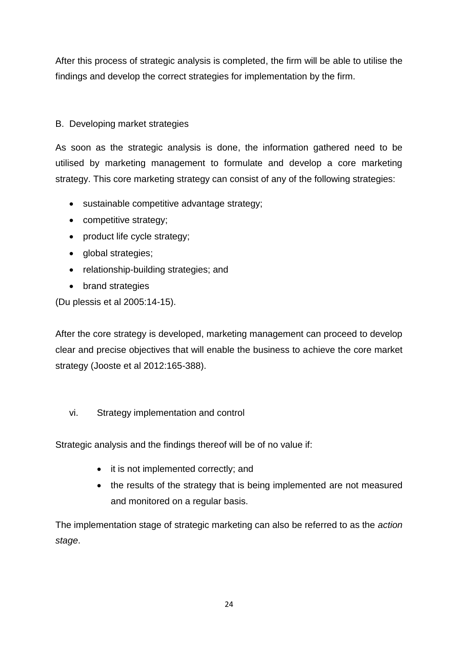After this process of strategic analysis is completed, the firm will be able to utilise the findings and develop the correct strategies for implementation by the firm.

## B. Developing market strategies

As soon as the strategic analysis is done, the information gathered need to be utilised by marketing management to formulate and develop a core marketing strategy. This core marketing strategy can consist of any of the following strategies:

- sustainable competitive advantage strategy;
- competitive strategy;
- product life cycle strategy;
- global strategies;
- relationship-building strategies; and
- brand strategies

(Du plessis et al 2005:14-15).

After the core strategy is developed, marketing management can proceed to develop clear and precise objectives that will enable the business to achieve the core market strategy (Jooste et al 2012:165-388).

vi. Strategy implementation and control

Strategic analysis and the findings thereof will be of no value if:

- it is not implemented correctly; and
- the results of the strategy that is being implemented are not measured and monitored on a regular basis.

The implementation stage of strategic marketing can also be referred to as the *action stage*.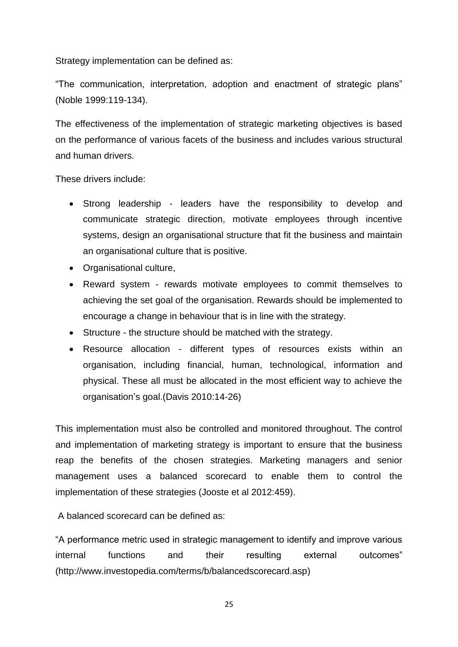Strategy implementation can be defined as:

"The communication, interpretation, adoption and enactment of strategic plans" (Noble 1999:119-134).

The effectiveness of the implementation of strategic marketing objectives is based on the performance of various facets of the business and includes various structural and human drivers.

These drivers include:

- Strong leadership leaders have the responsibility to develop and communicate strategic direction, motivate employees through incentive systems, design an organisational structure that fit the business and maintain an organisational culture that is positive.
- Organisational culture,
- Reward system rewards motivate employees to commit themselves to achieving the set goal of the organisation. Rewards should be implemented to encourage a change in behaviour that is in line with the strategy.
- Structure the structure should be matched with the strategy.
- Resource allocation different types of resources exists within an organisation, including financial, human, technological, information and physical. These all must be allocated in the most efficient way to achieve the organisation's goal.(Davis 2010:14-26)

This implementation must also be controlled and monitored throughout. The control and implementation of marketing strategy is important to ensure that the business reap the benefits of the chosen strategies. Marketing managers and senior management uses a balanced scorecard to enable them to control the implementation of these strategies (Jooste et al 2012:459).

A balanced scorecard can be defined as:

"A performance metric used in strategic management to identify and improve various internal functions and their resulting external outcomes" [\(http://www.investopedia.com/terms/b/balancedscorecard.asp\)](http://www.investopedia.com/terms/b/balancedscorecard.asp)

25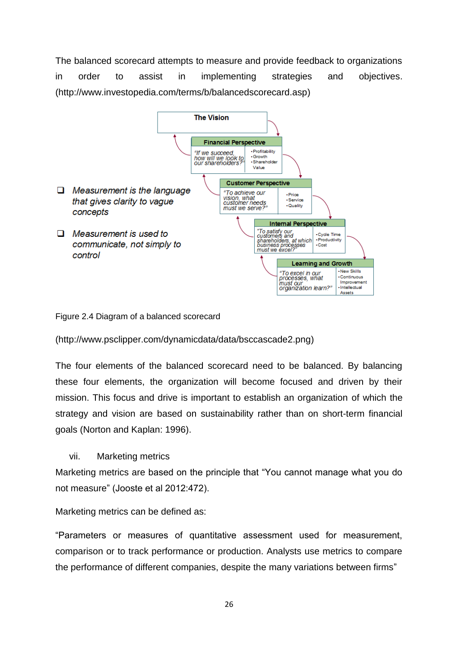The balanced scorecard attempts to measure and provide feedback to organizations in order to assist in implementing strategies and objectives. [\(http://www.investopedia.com/terms/b/balancedscorecard.asp\)](http://www.investopedia.com/terms/b/balancedscorecard.asp)



Figure 2.4 Diagram of a balanced scorecard

[\(http://www.psclipper.com/dynamicdata/data/bsccascade2.png\)](http://www.psclipper.com/dynamicdata/data/bsccascade2.png)

The four elements of the balanced scorecard need to be balanced. By balancing these four elements, the organization will become focused and driven by their mission. This focus and drive is important to establish an organization of which the strategy and vision are based on sustainability rather than on short-term financial goals (Norton and Kaplan: 1996).

vii. Marketing metrics

Marketing metrics are based on the principle that "You cannot manage what you do not measure" (Jooste et al 2012:472).

Marketing metrics can be defined as:

"Parameters or measures of quantitative assessment used for measurement, comparison or to track performance or production. Analysts use metrics to compare the performance of different companies, despite the many variations between firms"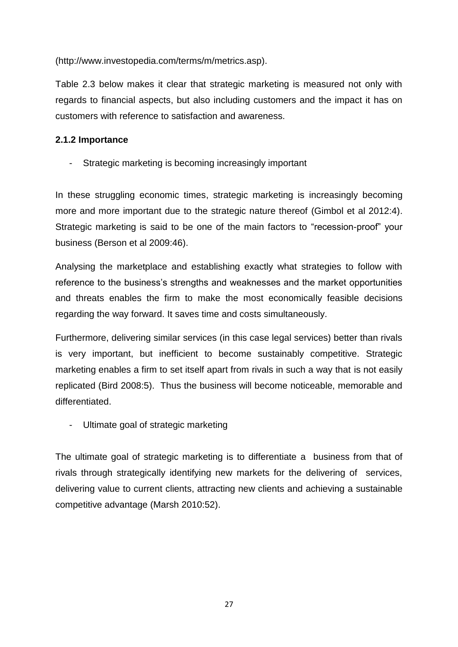[\(http://www.investopedia.com/terms/m/metrics.asp\)](http://www.investopedia.com/terms/m/metrics.asp).

Table 2.3 below makes it clear that strategic marketing is measured not only with regards to financial aspects, but also including customers and the impact it has on customers with reference to satisfaction and awareness.

## **2.1.2 Importance**

Strategic marketing is becoming increasingly important

In these struggling economic times, strategic marketing is increasingly becoming more and more important due to the strategic nature thereof (Gimbol et al 2012:4). Strategic marketing is said to be one of the main factors to "recession-proof" your business (Berson et al 2009:46).

Analysing the marketplace and establishing exactly what strategies to follow with reference to the business's strengths and weaknesses and the market opportunities and threats enables the firm to make the most economically feasible decisions regarding the way forward. It saves time and costs simultaneously.

Furthermore, delivering similar services (in this case legal services) better than rivals is very important, but inefficient to become sustainably competitive. Strategic marketing enables a firm to set itself apart from rivals in such a way that is not easily replicated (Bird 2008:5). Thus the business will become noticeable, memorable and differentiated.

Ultimate goal of strategic marketing

The ultimate goal of strategic marketing is to differentiate a business from that of rivals through strategically identifying new markets for the delivering of services, delivering value to current clients, attracting new clients and achieving a sustainable competitive advantage (Marsh 2010:52).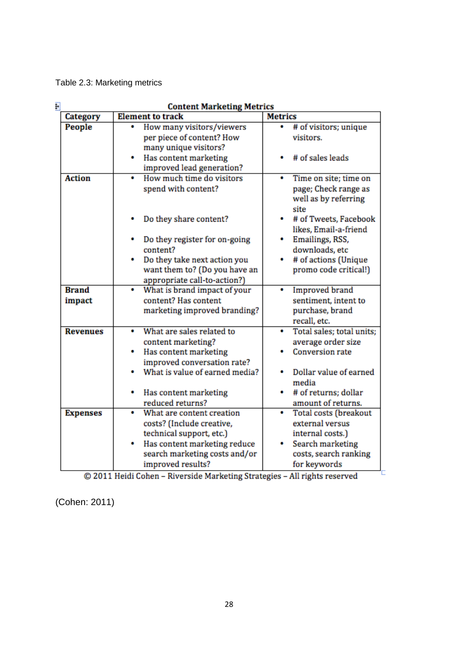Table 2.3: Marketing metrics

| F<br><b>Content Marketing Metrics</b> |                                                                                                                                                                                                                                                       |                                                                                                                                                                      |  |  |
|---------------------------------------|-------------------------------------------------------------------------------------------------------------------------------------------------------------------------------------------------------------------------------------------------------|----------------------------------------------------------------------------------------------------------------------------------------------------------------------|--|--|
| Category                              | <b>Element to track</b>                                                                                                                                                                                                                               | <b>Metrics</b>                                                                                                                                                       |  |  |
| People                                | How many visitors/viewers<br>٠<br>per piece of content? How<br>many unique visitors?                                                                                                                                                                  | # of visitors; unique<br>$\bullet$<br>visitors.                                                                                                                      |  |  |
|                                       | Has content marketing<br>٠<br>improved lead generation?                                                                                                                                                                                               | # of sales leads                                                                                                                                                     |  |  |
| <b>Action</b>                         | How much time do visitors<br>٠<br>spend with content?<br>Do they share content?                                                                                                                                                                       | Time on site; time on<br>٠<br>page; Check range as<br>well as by referring<br>site<br># of Tweets, Facebook                                                          |  |  |
|                                       | Do they register for on-going<br>٠<br>content?<br>Do they take next action you<br>want them to? (Do you have an<br>appropriate call-to-action?)                                                                                                       | likes, Email-a-friend<br>Emailings, RSS,<br>۰<br>downloads, etc<br># of actions (Unique<br>٠<br>promo code critical!)                                                |  |  |
| <b>Brand</b><br>impact                | What is brand impact of your<br>٠<br>content? Has content<br>marketing improved branding?                                                                                                                                                             | <b>Improved</b> brand<br>۰<br>sentiment, intent to<br>purchase, brand<br>recall, etc.                                                                                |  |  |
| <b>Revenues</b>                       | What are sales related to<br>۰<br>content marketing?<br>Has content marketing<br>٠<br>improved conversation rate?<br>What is value of earned media?<br>۰<br>Has content marketing<br>reduced returns?                                                 | Total sales; total units;<br>٠<br>average order size<br><b>Conversion rate</b><br>Dollar value of earned<br>٠<br>media<br># of returns; dollar<br>amount of returns. |  |  |
| <b>Expenses</b>                       | What are content creation<br>costs? (Include creative,<br>technical support, etc.)<br>Has content marketing reduce<br>search marketing costs and/or<br>improved results?<br>© 2011 Heidi Cohen - Riverside Marketing Strategies - All rights reserved | <b>Total costs (breakout</b><br>external versus<br>internal costs.)<br>Search marketing<br>costs, search ranking<br>for keywords                                     |  |  |

© 2011 Heidi Cohen - Riverside Marketing Strategies - All rights reserved

(Cohen: 2011)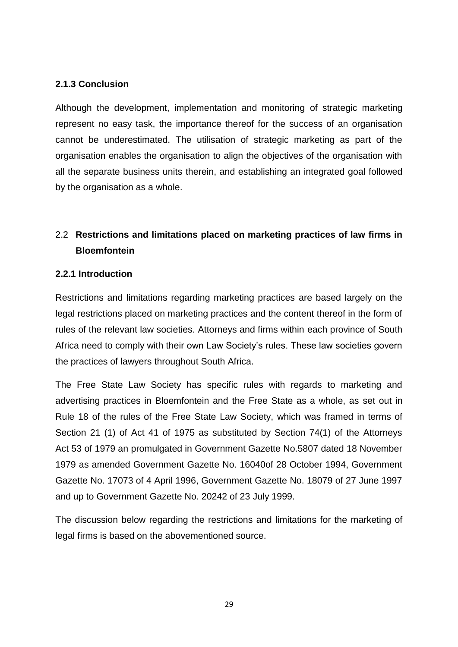## **2.1.3 Conclusion**

Although the development, implementation and monitoring of strategic marketing represent no easy task, the importance thereof for the success of an organisation cannot be underestimated. The utilisation of strategic marketing as part of the organisation enables the organisation to align the objectives of the organisation with all the separate business units therein, and establishing an integrated goal followed by the organisation as a whole.

## 2.2 **Restrictions and limitations placed on marketing practices of law firms in Bloemfontein**

#### **2.2.1 Introduction**

Restrictions and limitations regarding marketing practices are based largely on the legal restrictions placed on marketing practices and the content thereof in the form of rules of the relevant law societies. Attorneys and firms within each province of South Africa need to comply with their own Law Society's rules. These law societies govern the practices of lawyers throughout South Africa.

The Free State Law Society has specific rules with regards to marketing and advertising practices in Bloemfontein and the Free State as a whole, as set out in Rule 18 of the rules of the Free State Law Society, which was framed in terms of Section 21 (1) of Act 41 of 1975 as substituted by Section 74(1) of the Attorneys Act 53 of 1979 an promulgated in Government Gazette No.5807 dated 18 November 1979 as amended Government Gazette No. 16040of 28 October 1994, Government Gazette No. 17073 of 4 April 1996, Government Gazette No. 18079 of 27 June 1997 and up to Government Gazette No. 20242 of 23 July 1999.

The discussion below regarding the restrictions and limitations for the marketing of legal firms is based on the abovementioned source.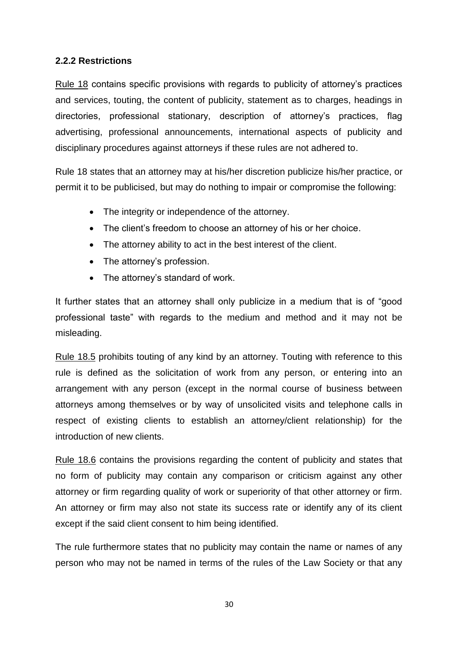## **2.2.2 Restrictions**

Rule 18 contains specific provisions with regards to publicity of attorney's practices and services, touting, the content of publicity, statement as to charges, headings in directories, professional stationary, description of attorney's practices, flag advertising, professional announcements, international aspects of publicity and disciplinary procedures against attorneys if these rules are not adhered to.

Rule 18 states that an attorney may at his/her discretion publicize his/her practice, or permit it to be publicised, but may do nothing to impair or compromise the following:

- The integrity or independence of the attorney.
- The client's freedom to choose an attorney of his or her choice.
- The attorney ability to act in the best interest of the client.
- The attorney's profession.
- The attorney's standard of work.

It further states that an attorney shall only publicize in a medium that is of "good professional taste" with regards to the medium and method and it may not be misleading.

Rule 18.5 prohibits touting of any kind by an attorney. Touting with reference to this rule is defined as the solicitation of work from any person, or entering into an arrangement with any person (except in the normal course of business between attorneys among themselves or by way of unsolicited visits and telephone calls in respect of existing clients to establish an attorney/client relationship) for the introduction of new clients.

Rule 18.6 contains the provisions regarding the content of publicity and states that no form of publicity may contain any comparison or criticism against any other attorney or firm regarding quality of work or superiority of that other attorney or firm. An attorney or firm may also not state its success rate or identify any of its client except if the said client consent to him being identified.

The rule furthermore states that no publicity may contain the name or names of any person who may not be named in terms of the rules of the Law Society or that any

30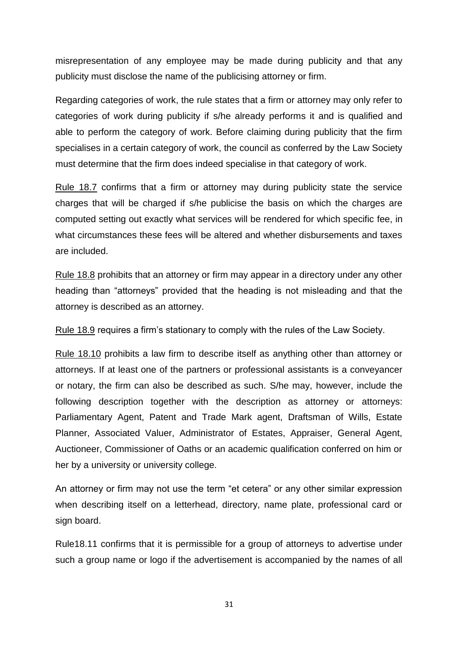misrepresentation of any employee may be made during publicity and that any publicity must disclose the name of the publicising attorney or firm.

Regarding categories of work, the rule states that a firm or attorney may only refer to categories of work during publicity if s/he already performs it and is qualified and able to perform the category of work. Before claiming during publicity that the firm specialises in a certain category of work, the council as conferred by the Law Society must determine that the firm does indeed specialise in that category of work.

Rule 18.7 confirms that a firm or attorney may during publicity state the service charges that will be charged if s/he publicise the basis on which the charges are computed setting out exactly what services will be rendered for which specific fee, in what circumstances these fees will be altered and whether disbursements and taxes are included.

Rule 18.8 prohibits that an attorney or firm may appear in a directory under any other heading than "attorneys" provided that the heading is not misleading and that the attorney is described as an attorney.

Rule 18.9 requires a firm's stationary to comply with the rules of the Law Society.

Rule 18.10 prohibits a law firm to describe itself as anything other than attorney or attorneys. If at least one of the partners or professional assistants is a conveyancer or notary, the firm can also be described as such. S/he may, however, include the following description together with the description as attorney or attorneys: Parliamentary Agent, Patent and Trade Mark agent, Draftsman of Wills, Estate Planner, Associated Valuer, Administrator of Estates, Appraiser, General Agent, Auctioneer, Commissioner of Oaths or an academic qualification conferred on him or her by a university or university college.

An attorney or firm may not use the term "et cetera" or any other similar expression when describing itself on a letterhead, directory, name plate, professional card or sign board.

Rule18.11 confirms that it is permissible for a group of attorneys to advertise under such a group name or logo if the advertisement is accompanied by the names of all

31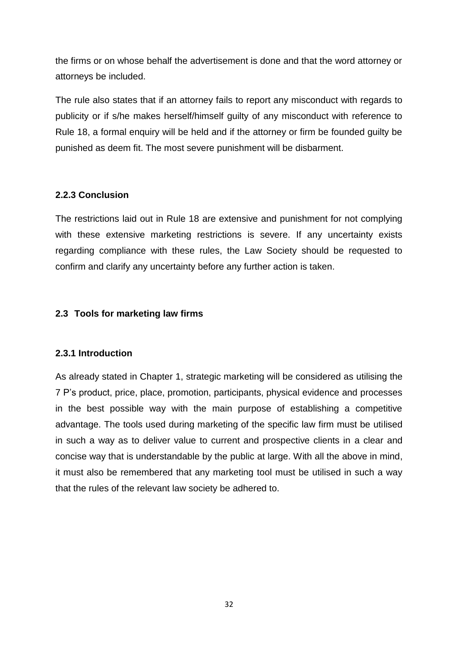the firms or on whose behalf the advertisement is done and that the word attorney or attorneys be included.

The rule also states that if an attorney fails to report any misconduct with regards to publicity or if s/he makes herself/himself guilty of any misconduct with reference to Rule 18, a formal enquiry will be held and if the attorney or firm be founded guilty be punished as deem fit. The most severe punishment will be disbarment.

## **2.2.3 Conclusion**

The restrictions laid out in Rule 18 are extensive and punishment for not complying with these extensive marketing restrictions is severe. If any uncertainty exists regarding compliance with these rules, the Law Society should be requested to confirm and clarify any uncertainty before any further action is taken.

## **2.3 Tools for marketing law firms**

#### **2.3.1 Introduction**

As already stated in Chapter 1, strategic marketing will be considered as utilising the 7 P's product, price, place, promotion, participants, physical evidence and processes in the best possible way with the main purpose of establishing a competitive advantage. The tools used during marketing of the specific law firm must be utilised in such a way as to deliver value to current and prospective clients in a clear and concise way that is understandable by the public at large. With all the above in mind, it must also be remembered that any marketing tool must be utilised in such a way that the rules of the relevant law society be adhered to.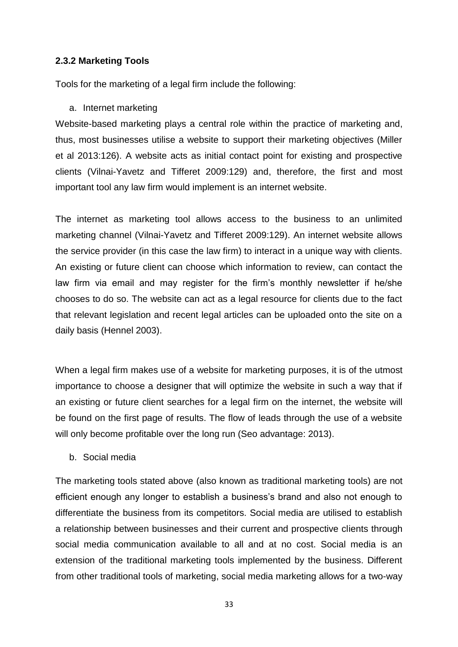#### **2.3.2 Marketing Tools**

Tools for the marketing of a legal firm include the following:

#### a. Internet marketing

Website-based marketing plays a central role within the practice of marketing and, thus, most businesses utilise a website to support their marketing objectives (Miller et al 2013:126). A website acts as initial contact point for existing and prospective clients (Vilnai-Yavetz and Tifferet 2009:129) and, therefore, the first and most important tool any law firm would implement is an internet website.

The internet as marketing tool allows access to the business to an unlimited marketing channel (Vilnai-Yavetz and Tifferet 2009:129). An internet website allows the service provider (in this case the law firm) to interact in a unique way with clients. An existing or future client can choose which information to review, can contact the law firm via email and may register for the firm's monthly newsletter if he/she chooses to do so. The website can act as a legal resource for clients due to the fact that relevant legislation and recent legal articles can be uploaded onto the site on a daily basis (Hennel 2003).

When a legal firm makes use of a website for marketing purposes, it is of the utmost importance to choose a designer that will optimize the website in such a way that if an existing or future client searches for a legal firm on the internet, the website will be found on the first page of results. The flow of leads through the use of a website will only become profitable over the long run (Seo advantage: 2013).

b. Social media

The marketing tools stated above (also known as traditional marketing tools) are not efficient enough any longer to establish a business's brand and also not enough to differentiate the business from its competitors. Social media are utilised to establish a relationship between businesses and their current and prospective clients through social media communication available to all and at no cost. Social media is an extension of the traditional marketing tools implemented by the business. Different from other traditional tools of marketing, social media marketing allows for a two-way

33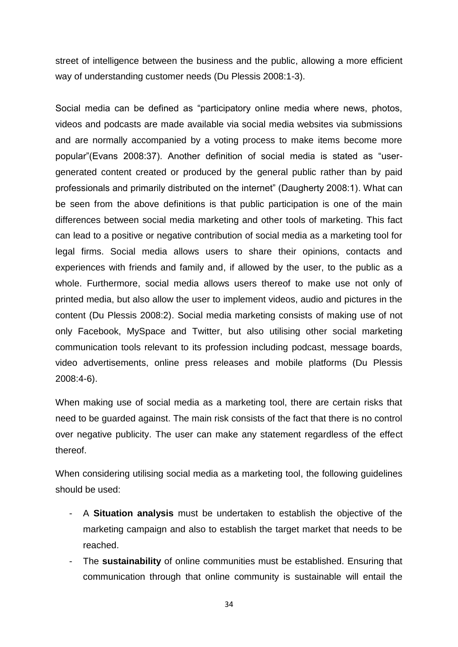street of intelligence between the business and the public, allowing a more efficient way of understanding customer needs (Du Plessis 2008:1-3).

Social media can be defined as "participatory online media where news, photos, videos and podcasts are made available via social media websites via submissions and are normally accompanied by a voting process to make items become more popular"(Evans 2008:37). Another definition of social media is stated as "usergenerated content created or produced by the general public rather than by paid professionals and primarily distributed on the internet" (Daugherty 2008:1). What can be seen from the above definitions is that public participation is one of the main differences between social media marketing and other tools of marketing. This fact can lead to a positive or negative contribution of social media as a marketing tool for legal firms. Social media allows users to share their opinions, contacts and experiences with friends and family and, if allowed by the user, to the public as a whole. Furthermore, social media allows users thereof to make use not only of printed media, but also allow the user to implement videos, audio and pictures in the content (Du Plessis 2008:2). Social media marketing consists of making use of not only Facebook, MySpace and Twitter, but also utilising other social marketing communication tools relevant to its profession including podcast, message boards, video advertisements, online press releases and mobile platforms (Du Plessis 2008:4-6).

When making use of social media as a marketing tool, there are certain risks that need to be guarded against. The main risk consists of the fact that there is no control over negative publicity. The user can make any statement regardless of the effect thereof.

When considering utilising social media as a marketing tool, the following guidelines should be used:

- A **Situation analysis** must be undertaken to establish the objective of the marketing campaign and also to establish the target market that needs to be reached.
- The **sustainability** of online communities must be established. Ensuring that communication through that online community is sustainable will entail the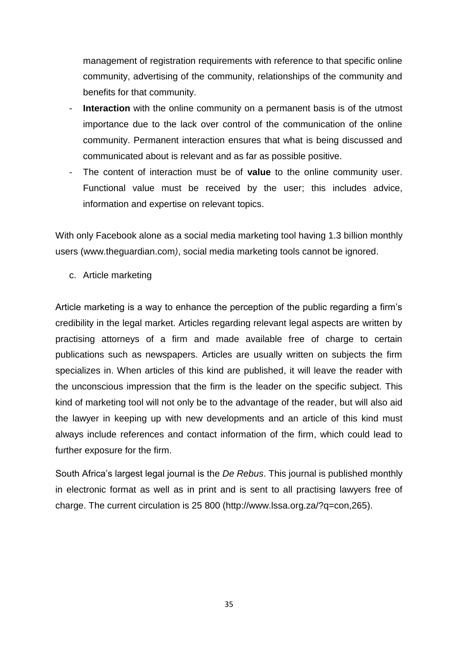management of registration requirements with reference to that specific online community, advertising of the community, relationships of the community and benefits for that community.

- **Interaction** with the online community on a permanent basis is of the utmost importance due to the lack over control of the communication of the online community. Permanent interaction ensures that what is being discussed and communicated about is relevant and as far as possible positive.
- The content of interaction must be of **value** to the online community user. Functional value must be received by the user; this includes advice, information and expertise on relevant topics.

With only Facebook alone as a social media marketing tool having 1.3 billion monthly users [\(www.theguardian.com](http://www.theguardian.com/)*)*, social media marketing tools cannot be ignored.

c. Article marketing

Article marketing is a way to enhance the perception of the public regarding a firm's credibility in the legal market. Articles regarding relevant legal aspects are written by practising attorneys of a firm and made available free of charge to certain publications such as newspapers. Articles are usually written on subjects the firm specializes in. When articles of this kind are published, it will leave the reader with the unconscious impression that the firm is the leader on the specific subject. This kind of marketing tool will not only be to the advantage of the reader, but will also aid the lawyer in keeping up with new developments and an article of this kind must always include references and contact information of the firm, which could lead to further exposure for the firm.

South Africa's largest legal journal is the *De Rebus*. This journal is published monthly in electronic format as well as in print and is sent to all practising lawyers free of charge. The current circulation is 25 800 [\(http://www.lssa.org.za/?q=con,265\)](http://www.lssa.org.za/?q=con,265).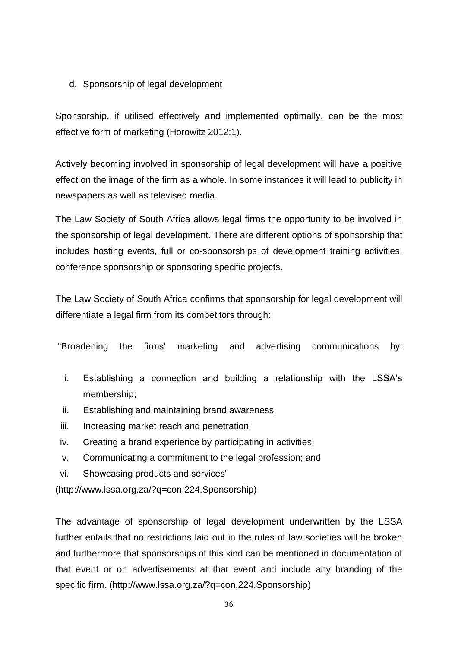## d. Sponsorship of legal development

Sponsorship, if utilised effectively and implemented optimally, can be the most effective form of marketing (Horowitz 2012:1).

Actively becoming involved in sponsorship of legal development will have a positive effect on the image of the firm as a whole. In some instances it will lead to publicity in newspapers as well as televised media.

The Law Society of South Africa allows legal firms the opportunity to be involved in the sponsorship of legal development. There are different options of sponsorship that includes hosting events, full or co-sponsorships of development training activities, conference sponsorship or sponsoring specific projects.

The Law Society of South Africa confirms that sponsorship for legal development will differentiate a legal firm from its competitors through:

"Broadening the firms' marketing and advertising communications by:

- i. Establishing a connection and building a relationship with the LSSA's membership;
- ii. Establishing and maintaining brand awareness;
- iii. Increasing market reach and penetration;
- iv. Creating a brand experience by participating in activities;
- v. Communicating a commitment to the legal profession; and
- vi. Showcasing products and services"

(http://www.lssa.org.za/?q=con,224,Sponsorship)

The advantage of sponsorship of legal development underwritten by the LSSA further entails that no restrictions laid out in the rules of law societies will be broken and furthermore that sponsorships of this kind can be mentioned in documentation of that event or on advertisements at that event and include any branding of the specific firm. [\(http://www.lssa.org.za/?q=con,224,Sponsorship\)](http://www.lssa.org.za/?q=con,224,Sponsorship)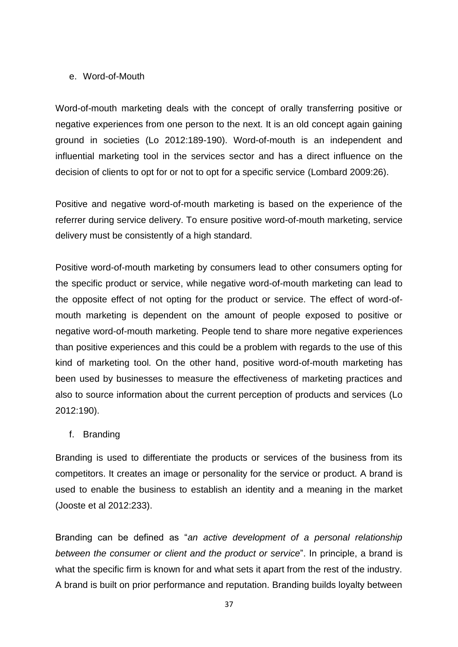#### e. Word-of-Mouth

Word-of-mouth marketing deals with the concept of orally transferring positive or negative experiences from one person to the next. It is an old concept again gaining ground in societies (Lo 2012:189-190). Word-of-mouth is an independent and influential marketing tool in the services sector and has a direct influence on the decision of clients to opt for or not to opt for a specific service (Lombard 2009:26).

Positive and negative word-of-mouth marketing is based on the experience of the referrer during service delivery. To ensure positive word-of-mouth marketing, service delivery must be consistently of a high standard.

Positive word-of-mouth marketing by consumers lead to other consumers opting for the specific product or service, while negative word-of-mouth marketing can lead to the opposite effect of not opting for the product or service. The effect of word-ofmouth marketing is dependent on the amount of people exposed to positive or negative word-of-mouth marketing. People tend to share more negative experiences than positive experiences and this could be a problem with regards to the use of this kind of marketing tool. On the other hand, positive word-of-mouth marketing has been used by businesses to measure the effectiveness of marketing practices and also to source information about the current perception of products and services (Lo 2012:190).

#### f. Branding

Branding is used to differentiate the products or services of the business from its competitors. It creates an image or personality for the service or product. A brand is used to enable the business to establish an identity and a meaning in the market (Jooste et al 2012:233).

Branding can be defined as "*an active development of a personal relationship between the consumer or client and the product or service*". In principle, a brand is what the specific firm is known for and what sets it apart from the rest of the industry. A brand is built on prior performance and reputation. Branding builds loyalty between

37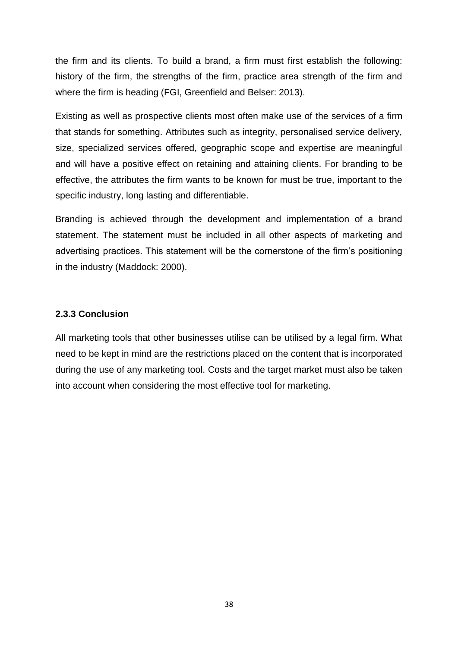the firm and its clients. To build a brand, a firm must first establish the following: history of the firm, the strengths of the firm, practice area strength of the firm and where the firm is heading (FGI, Greenfield and Belser: 2013).

Existing as well as prospective clients most often make use of the services of a firm that stands for something. Attributes such as integrity, personalised service delivery, size, specialized services offered, geographic scope and expertise are meaningful and will have a positive effect on retaining and attaining clients. For branding to be effective, the attributes the firm wants to be known for must be true, important to the specific industry, long lasting and differentiable.

Branding is achieved through the development and implementation of a brand statement. The statement must be included in all other aspects of marketing and advertising practices. This statement will be the cornerstone of the firm's positioning in the industry (Maddock: 2000).

#### **2.3.3 Conclusion**

All marketing tools that other businesses utilise can be utilised by a legal firm. What need to be kept in mind are the restrictions placed on the content that is incorporated during the use of any marketing tool. Costs and the target market must also be taken into account when considering the most effective tool for marketing.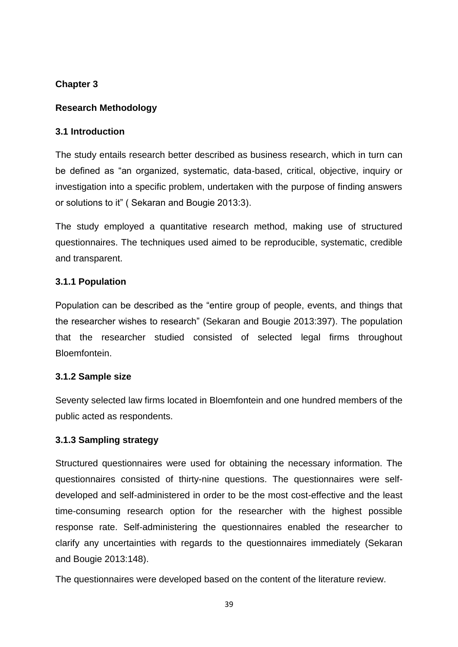## **Chapter 3**

## **Research Methodology**

## **3.1 Introduction**

The study entails research better described as business research, which in turn can be defined as "an organized, systematic, data-based, critical, objective, inquiry or investigation into a specific problem, undertaken with the purpose of finding answers or solutions to it" ( Sekaran and Bougie 2013:3).

The study employed a quantitative research method, making use of structured questionnaires. The techniques used aimed to be reproducible, systematic, credible and transparent.

## **3.1.1 Population**

Population can be described as the "entire group of people, events, and things that the researcher wishes to research" (Sekaran and Bougie 2013:397). The population that the researcher studied consisted of selected legal firms throughout Bloemfontein.

## **3.1.2 Sample size**

Seventy selected law firms located in Bloemfontein and one hundred members of the public acted as respondents.

## **3.1.3 Sampling strategy**

Structured questionnaires were used for obtaining the necessary information. The questionnaires consisted of thirty-nine questions. The questionnaires were selfdeveloped and self-administered in order to be the most cost-effective and the least time-consuming research option for the researcher with the highest possible response rate. Self-administering the questionnaires enabled the researcher to clarify any uncertainties with regards to the questionnaires immediately (Sekaran and Bougie 2013:148).

The questionnaires were developed based on the content of the literature review.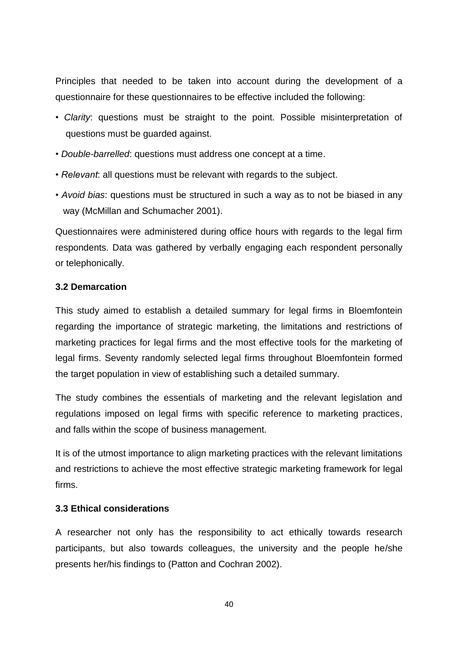Principles that needed to be taken into account during the development of a questionnaire for these questionnaires to be effective included the following:

- *Clarity*: questions must be straight to the point. Possible misinterpretation of questions must be guarded against.
- *Double-barrelled*: questions must address one concept at a time.
- *Relevant*: all questions must be relevant with regards to the subject.
- *Avoid bias*: questions must be structured in such a way as to not be biased in any way (McMillan and Schumacher 2001).

Questionnaires were administered during office hours with regards to the legal firm respondents. Data was gathered by verbally engaging each respondent personally or telephonically.

#### **3.2 Demarcation**

This study aimed to establish a detailed summary for legal firms in Bloemfontein regarding the importance of strategic marketing, the limitations and restrictions of marketing practices for legal firms and the most effective tools for the marketing of legal firms. Seventy randomly selected legal firms throughout Bloemfontein formed the target population in view of establishing such a detailed summary.

The study combines the essentials of marketing and the relevant legislation and regulations imposed on legal firms with specific reference to marketing practices, and falls within the scope of business management.

It is of the utmost importance to align marketing practices with the relevant limitations and restrictions to achieve the most effective strategic marketing framework for legal firms.

#### **3.3 Ethical considerations**

A researcher not only has the responsibility to act ethically towards research participants, but also towards colleagues, the university and the people he/she presents her/his findings to (Patton and Cochran 2002).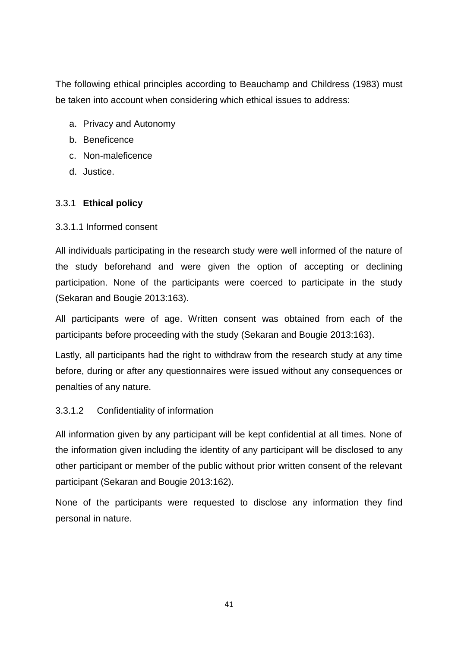The following ethical principles according to Beauchamp and Childress (1983) must be taken into account when considering which ethical issues to address:

- a. Privacy and Autonomy
- b. Beneficence
- c. Non-maleficence
- d. Justice.

## 3.3.1 **Ethical policy**

## 3.3.1.1 Informed consent

All individuals participating in the research study were well informed of the nature of the study beforehand and were given the option of accepting or declining participation. None of the participants were coerced to participate in the study (Sekaran and Bougie 2013:163).

All participants were of age. Written consent was obtained from each of the participants before proceeding with the study (Sekaran and Bougie 2013:163).

Lastly, all participants had the right to withdraw from the research study at any time before, during or after any questionnaires were issued without any consequences or penalties of any nature.

## 3.3.1.2 Confidentiality of information

All information given by any participant will be kept confidential at all times. None of the information given including the identity of any participant will be disclosed to any other participant or member of the public without prior written consent of the relevant participant (Sekaran and Bougie 2013:162).

None of the participants were requested to disclose any information they find personal in nature.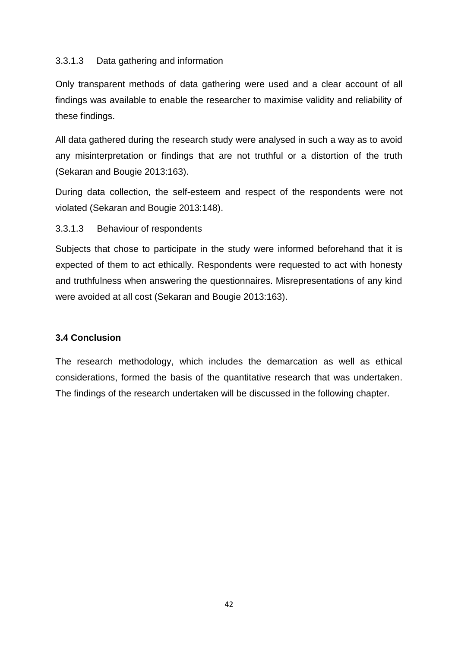## 3.3.1.3 Data gathering and information

Only transparent methods of data gathering were used and a clear account of all findings was available to enable the researcher to maximise validity and reliability of these findings.

All data gathered during the research study were analysed in such a way as to avoid any misinterpretation or findings that are not truthful or a distortion of the truth (Sekaran and Bougie 2013:163).

During data collection, the self-esteem and respect of the respondents were not violated (Sekaran and Bougie 2013:148).

#### 3.3.1.3 Behaviour of respondents

Subjects that chose to participate in the study were informed beforehand that it is expected of them to act ethically. Respondents were requested to act with honesty and truthfulness when answering the questionnaires. Misrepresentations of any kind were avoided at all cost (Sekaran and Bougie 2013:163).

#### **3.4 Conclusion**

The research methodology, which includes the demarcation as well as ethical considerations, formed the basis of the quantitative research that was undertaken. The findings of the research undertaken will be discussed in the following chapter.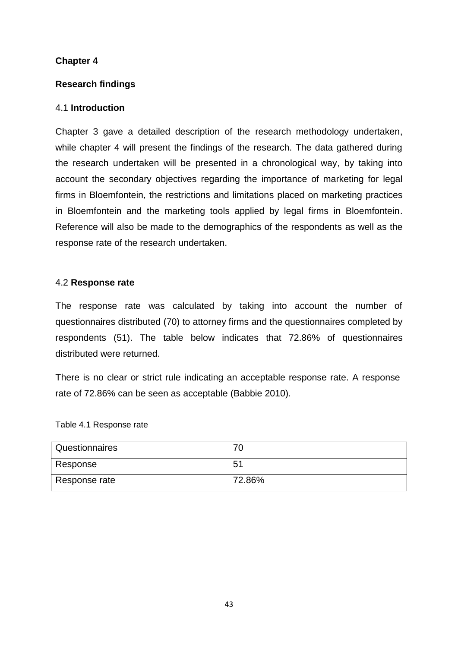## **Chapter 4**

## **Research findings**

## 4.1 **Introduction**

Chapter 3 gave a detailed description of the research methodology undertaken, while chapter 4 will present the findings of the research. The data gathered during the research undertaken will be presented in a chronological way, by taking into account the secondary objectives regarding the importance of marketing for legal firms in Bloemfontein, the restrictions and limitations placed on marketing practices in Bloemfontein and the marketing tools applied by legal firms in Bloemfontein. Reference will also be made to the demographics of the respondents as well as the response rate of the research undertaken.

#### 4.2 **Response rate**

The response rate was calculated by taking into account the number of questionnaires distributed (70) to attorney firms and the questionnaires completed by respondents (51). The table below indicates that 72.86% of questionnaires distributed were returned.

There is no clear or strict rule indicating an acceptable response rate. A response rate of 72.86% can be seen as acceptable (Babbie 2010).

#### Table 4.1 Response rate

| Questionnaires | 70             |
|----------------|----------------|
| Response       | 5 <sub>1</sub> |
| Response rate  | 72.86%         |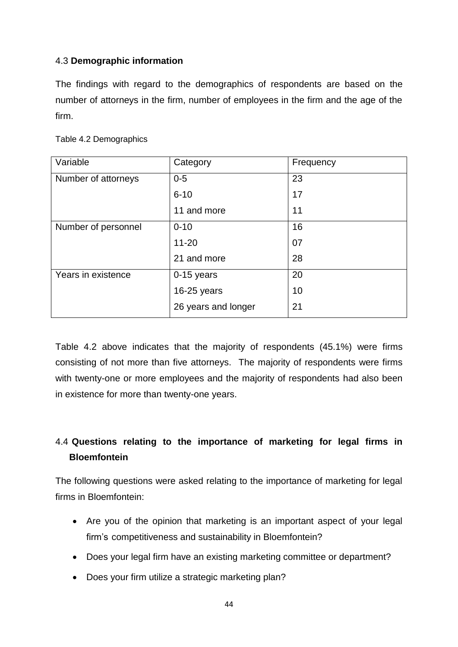## 4.3 **Demographic information**

The findings with regard to the demographics of respondents are based on the number of attorneys in the firm, number of employees in the firm and the age of the firm.

| Variable            | Category<br>Frequency |    |
|---------------------|-----------------------|----|
| Number of attorneys | $0-5$                 | 23 |
|                     | $6 - 10$              | 17 |
|                     | 11 and more           | 11 |
| Number of personnel | 16<br>$0 - 10$        |    |
|                     | $11 - 20$             | 07 |
|                     | 21 and more           | 28 |
| Years in existence  | 0-15 years            | 20 |
|                     | $16-25$ years         | 10 |
|                     | 26 years and longer   | 21 |

Table 4.2 above indicates that the majority of respondents (45.1%) were firms consisting of not more than five attorneys. The majority of respondents were firms with twenty-one or more employees and the majority of respondents had also been in existence for more than twenty-one years.

## 4.4 **Questions relating to the importance of marketing for legal firms in Bloemfontein**

The following questions were asked relating to the importance of marketing for legal firms in Bloemfontein:

- Are you of the opinion that marketing is an important aspect of your legal firm's competitiveness and sustainability in Bloemfontein?
- Does your legal firm have an existing marketing committee or department?
- Does your firm utilize a strategic marketing plan?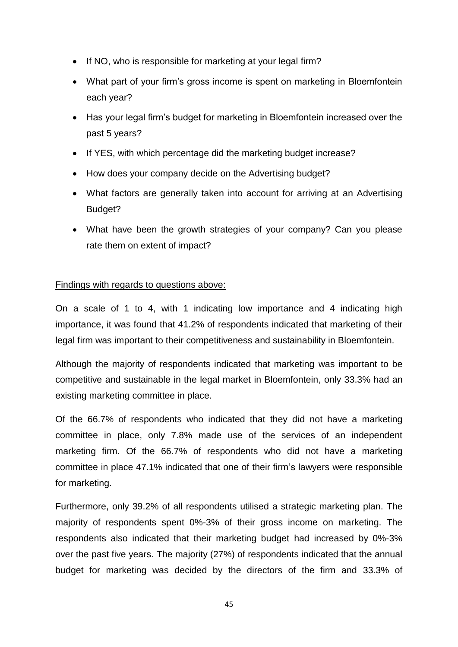- If NO, who is responsible for marketing at your legal firm?
- What part of your firm's gross income is spent on marketing in Bloemfontein each year?
- Has your legal firm's budget for marketing in Bloemfontein increased over the past 5 years?
- If YES, with which percentage did the marketing budget increase?
- How does your company decide on the Advertising budget?
- What factors are generally taken into account for arriving at an Advertising Budget?
- What have been the growth strategies of your company? Can you please rate them on extent of impact?

## Findings with regards to questions above:

On a scale of 1 to 4, with 1 indicating low importance and 4 indicating high importance, it was found that 41.2% of respondents indicated that marketing of their legal firm was important to their competitiveness and sustainability in Bloemfontein.

Although the majority of respondents indicated that marketing was important to be competitive and sustainable in the legal market in Bloemfontein, only 33.3% had an existing marketing committee in place.

Of the 66.7% of respondents who indicated that they did not have a marketing committee in place, only 7.8% made use of the services of an independent marketing firm. Of the 66.7% of respondents who did not have a marketing committee in place 47.1% indicated that one of their firm's lawyers were responsible for marketing.

Furthermore, only 39.2% of all respondents utilised a strategic marketing plan. The majority of respondents spent 0%-3% of their gross income on marketing. The respondents also indicated that their marketing budget had increased by 0%-3% over the past five years. The majority (27%) of respondents indicated that the annual budget for marketing was decided by the directors of the firm and 33.3% of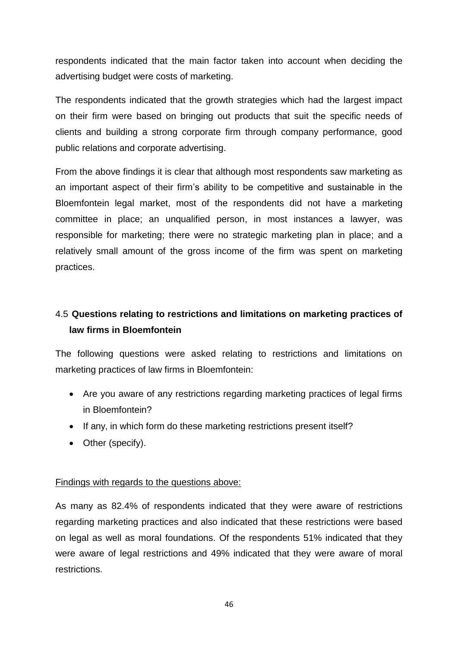respondents indicated that the main factor taken into account when deciding the advertising budget were costs of marketing.

The respondents indicated that the growth strategies which had the largest impact on their firm were based on bringing out products that suit the specific needs of clients and building a strong corporate firm through company performance, good public relations and corporate advertising.

From the above findings it is clear that although most respondents saw marketing as an important aspect of their firm's ability to be competitive and sustainable in the Bloemfontein legal market, most of the respondents did not have a marketing committee in place; an unqualified person, in most instances a lawyer, was responsible for marketing; there were no strategic marketing plan in place; and a relatively small amount of the gross income of the firm was spent on marketing practices.

# 4.5 **Questions relating to restrictions and limitations on marketing practices of law firms in Bloemfontein**

The following questions were asked relating to restrictions and limitations on marketing practices of law firms in Bloemfontein:

- Are you aware of any restrictions regarding marketing practices of legal firms in Bloemfontein?
- If any, in which form do these marketing restrictions present itself?
- Other (specify).

## Findings with regards to the questions above:

As many as 82.4% of respondents indicated that they were aware of restrictions regarding marketing practices and also indicated that these restrictions were based on legal as well as moral foundations. Of the respondents 51% indicated that they were aware of legal restrictions and 49% indicated that they were aware of moral restrictions.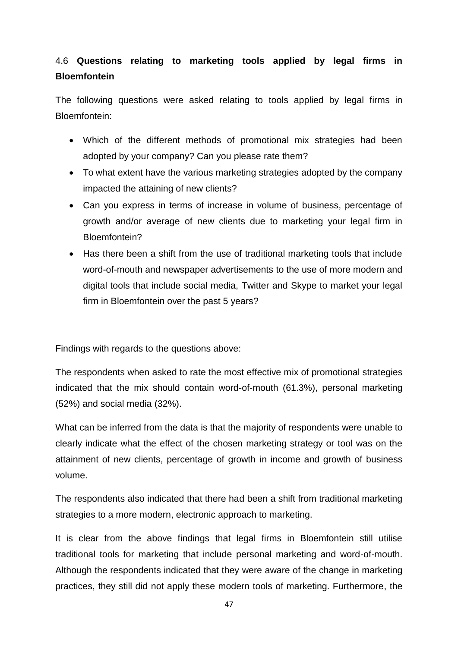## 4.6 **Questions relating to marketing tools applied by legal firms in Bloemfontein**

The following questions were asked relating to tools applied by legal firms in Bloemfontein:

- Which of the different methods of promotional mix strategies had been adopted by your company? Can you please rate them?
- To what extent have the various marketing strategies adopted by the company impacted the attaining of new clients?
- Can you express in terms of increase in volume of business, percentage of growth and/or average of new clients due to marketing your legal firm in Bloemfontein?
- Has there been a shift from the use of traditional marketing tools that include word-of-mouth and newspaper advertisements to the use of more modern and digital tools that include social media, Twitter and Skype to market your legal firm in Bloemfontein over the past 5 years?

## Findings with regards to the questions above:

The respondents when asked to rate the most effective mix of promotional strategies indicated that the mix should contain word-of-mouth (61.3%), personal marketing (52%) and social media (32%).

What can be inferred from the data is that the majority of respondents were unable to clearly indicate what the effect of the chosen marketing strategy or tool was on the attainment of new clients, percentage of growth in income and growth of business volume.

The respondents also indicated that there had been a shift from traditional marketing strategies to a more modern, electronic approach to marketing.

It is clear from the above findings that legal firms in Bloemfontein still utilise traditional tools for marketing that include personal marketing and word-of-mouth. Although the respondents indicated that they were aware of the change in marketing practices, they still did not apply these modern tools of marketing. Furthermore, the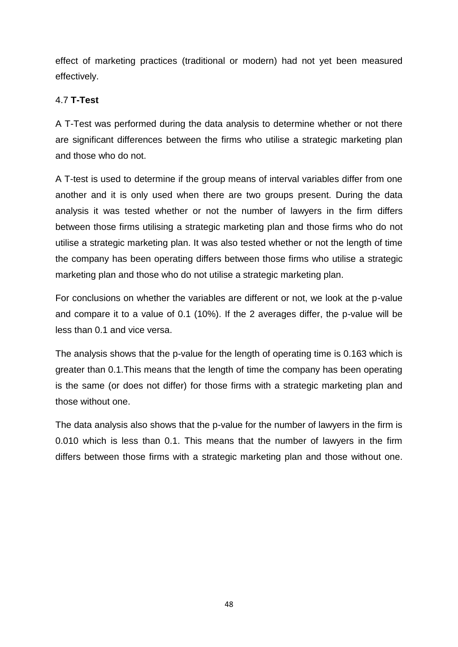effect of marketing practices (traditional or modern) had not yet been measured effectively.

## 4.7 **T-Test**

A T-Test was performed during the data analysis to determine whether or not there are significant differences between the firms who utilise a strategic marketing plan and those who do not.

A T-test is used to determine if the group means of interval variables differ from one another and it is only used when there are two groups present. During the data analysis it was tested whether or not the number of lawyers in the firm differs between those firms utilising a strategic marketing plan and those firms who do not utilise a strategic marketing plan. It was also tested whether or not the length of time the company has been operating differs between those firms who utilise a strategic marketing plan and those who do not utilise a strategic marketing plan.

For conclusions on whether the variables are different or not, we look at the p-value and compare it to a value of 0.1 (10%). If the 2 averages differ, the p-value will be less than 0.1 and vice versa.

The analysis shows that the p-value for the length of operating time is 0.163 which is greater than 0.1.This means that the length of time the company has been operating is the same (or does not differ) for those firms with a strategic marketing plan and those without one.

The data analysis also shows that the p-value for the number of lawyers in the firm is 0.010 which is less than 0.1. This means that the number of lawyers in the firm differs between those firms with a strategic marketing plan and those without one.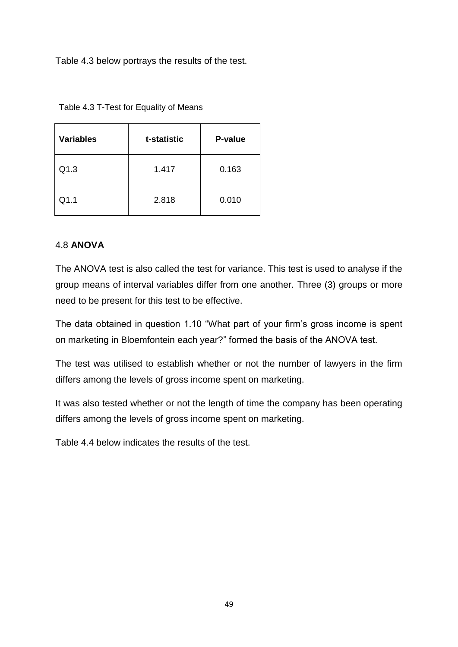Table 4.3 below portrays the results of the test.

| <b>Variables</b> | t-statistic | P-value |
|------------------|-------------|---------|
| Q1.3             | 1.417       | 0.163   |
| Q1.1             | 2.818       | 0.010   |

Table 4.3 T-Test for Equality of Means

## 4.8 **ANOVA**

The ANOVA test is also called the test for variance. This test is used to analyse if the group means of interval variables differ from one another. Three (3) groups or more need to be present for this test to be effective.

The data obtained in question 1.10 "What part of your firm's gross income is spent on marketing in Bloemfontein each year?" formed the basis of the ANOVA test.

The test was utilised to establish whether or not the number of lawyers in the firm differs among the levels of gross income spent on marketing.

It was also tested whether or not the length of time the company has been operating differs among the levels of gross income spent on marketing.

Table 4.4 below indicates the results of the test.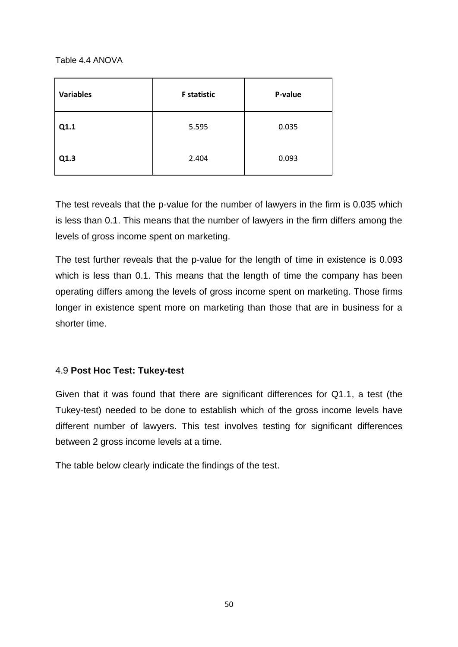Table 4.4 ANOVA

| <b>Variables</b> | <b>F</b> statistic | P-value |
|------------------|--------------------|---------|
| Q1.1             | 5.595              | 0.035   |
| Q1.3             | 2.404              | 0.093   |

The test reveals that the p-value for the number of lawyers in the firm is 0.035 which is less than 0.1. This means that the number of lawyers in the firm differs among the levels of gross income spent on marketing.

The test further reveals that the p-value for the length of time in existence is 0.093 which is less than 0.1. This means that the length of time the company has been operating differs among the levels of gross income spent on marketing. Those firms longer in existence spent more on marketing than those that are in business for a shorter time.

## 4.9 **Post Hoc Test: Tukey-test**

Given that it was found that there are significant differences for Q1.1, a test (the Tukey-test) needed to be done to establish which of the gross income levels have different number of lawyers. This test involves testing for significant differences between 2 gross income levels at a time.

The table below clearly indicate the findings of the test.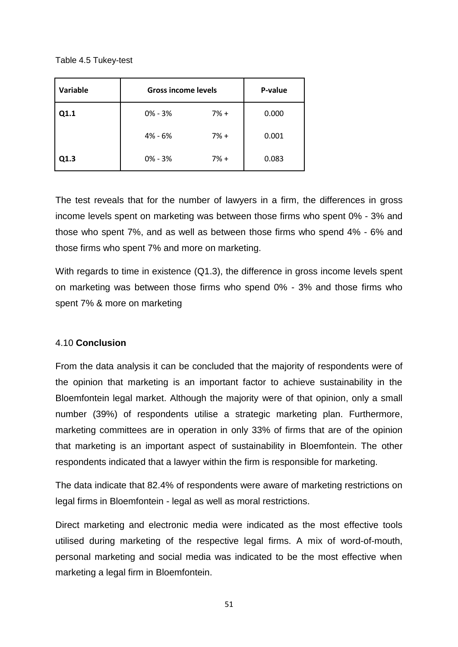Table 4.5 Tukey-test

| Variable | <b>Gross income levels</b> |       | P-value |
|----------|----------------------------|-------|---------|
| Q1.1     | $0\% - 3\%$                | $7%+$ | 0.000   |
|          | 4% - 6%                    | $7%+$ | 0.001   |
| Q1.3     | $0\% - 3\%$                | $7%+$ | 0.083   |

The test reveals that for the number of lawyers in a firm, the differences in gross income levels spent on marketing was between those firms who spent 0% - 3% and those who spent 7%, and as well as between those firms who spend 4% - 6% and those firms who spent 7% and more on marketing.

With regards to time in existence (Q1.3), the difference in gross income levels spent on marketing was between those firms who spend 0% - 3% and those firms who spent 7% & more on marketing

#### 4.10 **Conclusion**

From the data analysis it can be concluded that the majority of respondents were of the opinion that marketing is an important factor to achieve sustainability in the Bloemfontein legal market. Although the majority were of that opinion, only a small number (39%) of respondents utilise a strategic marketing plan. Furthermore, marketing committees are in operation in only 33% of firms that are of the opinion that marketing is an important aspect of sustainability in Bloemfontein. The other respondents indicated that a lawyer within the firm is responsible for marketing.

The data indicate that 82.4% of respondents were aware of marketing restrictions on legal firms in Bloemfontein - legal as well as moral restrictions.

Direct marketing and electronic media were indicated as the most effective tools utilised during marketing of the respective legal firms. A mix of word-of-mouth, personal marketing and social media was indicated to be the most effective when marketing a legal firm in Bloemfontein.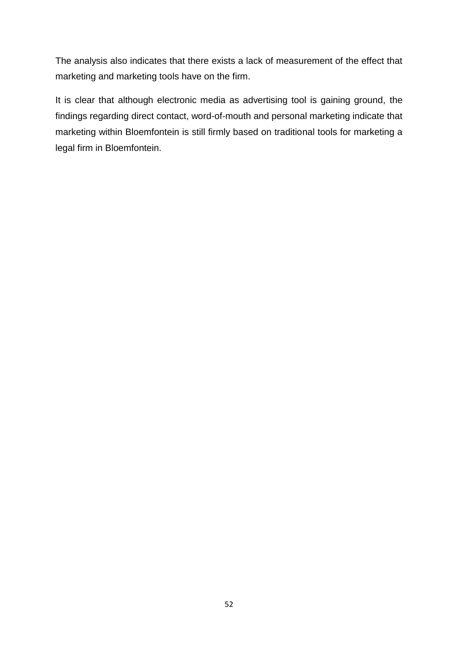The analysis also indicates that there exists a lack of measurement of the effect that marketing and marketing tools have on the firm.

It is clear that although electronic media as advertising tool is gaining ground, the findings regarding direct contact, word-of-mouth and personal marketing indicate that marketing within Bloemfontein is still firmly based on traditional tools for marketing a legal firm in Bloemfontein.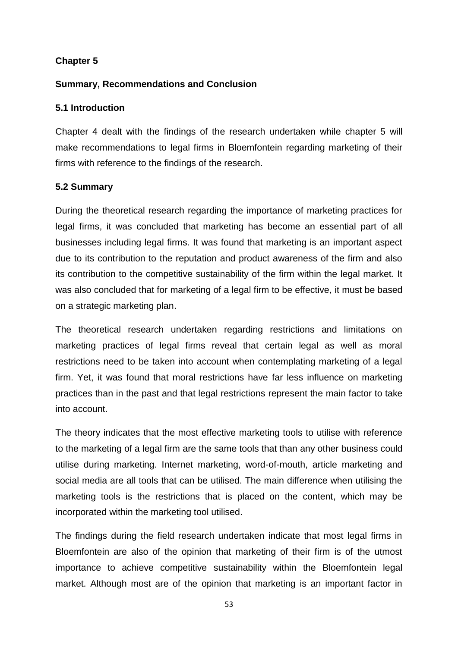## **Chapter 5**

#### **Summary, Recommendations and Conclusion**

#### **5.1 Introduction**

Chapter 4 dealt with the findings of the research undertaken while chapter 5 will make recommendations to legal firms in Bloemfontein regarding marketing of their firms with reference to the findings of the research.

#### **5.2 Summary**

During the theoretical research regarding the importance of marketing practices for legal firms, it was concluded that marketing has become an essential part of all businesses including legal firms. It was found that marketing is an important aspect due to its contribution to the reputation and product awareness of the firm and also its contribution to the competitive sustainability of the firm within the legal market. It was also concluded that for marketing of a legal firm to be effective, it must be based on a strategic marketing plan.

The theoretical research undertaken regarding restrictions and limitations on marketing practices of legal firms reveal that certain legal as well as moral restrictions need to be taken into account when contemplating marketing of a legal firm. Yet, it was found that moral restrictions have far less influence on marketing practices than in the past and that legal restrictions represent the main factor to take into account.

The theory indicates that the most effective marketing tools to utilise with reference to the marketing of a legal firm are the same tools that than any other business could utilise during marketing. Internet marketing, word-of-mouth, article marketing and social media are all tools that can be utilised. The main difference when utilising the marketing tools is the restrictions that is placed on the content, which may be incorporated within the marketing tool utilised.

The findings during the field research undertaken indicate that most legal firms in Bloemfontein are also of the opinion that marketing of their firm is of the utmost importance to achieve competitive sustainability within the Bloemfontein legal market. Although most are of the opinion that marketing is an important factor in

53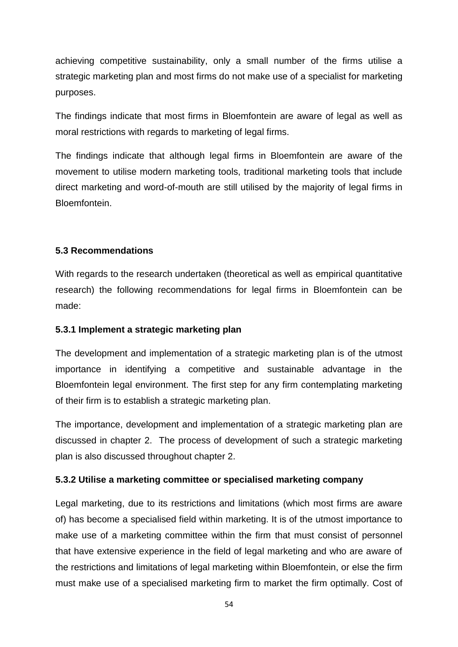achieving competitive sustainability, only a small number of the firms utilise a strategic marketing plan and most firms do not make use of a specialist for marketing purposes.

The findings indicate that most firms in Bloemfontein are aware of legal as well as moral restrictions with regards to marketing of legal firms.

The findings indicate that although legal firms in Bloemfontein are aware of the movement to utilise modern marketing tools, traditional marketing tools that include direct marketing and word-of-mouth are still utilised by the majority of legal firms in Bloemfontein.

## **5.3 Recommendations**

With regards to the research undertaken (theoretical as well as empirical quantitative research) the following recommendations for legal firms in Bloemfontein can be made:

#### **5.3.1 Implement a strategic marketing plan**

The development and implementation of a strategic marketing plan is of the utmost importance in identifying a competitive and sustainable advantage in the Bloemfontein legal environment. The first step for any firm contemplating marketing of their firm is to establish a strategic marketing plan.

The importance, development and implementation of a strategic marketing plan are discussed in chapter 2. The process of development of such a strategic marketing plan is also discussed throughout chapter 2.

## **5.3.2 Utilise a marketing committee or specialised marketing company**

Legal marketing, due to its restrictions and limitations (which most firms are aware of) has become a specialised field within marketing. It is of the utmost importance to make use of a marketing committee within the firm that must consist of personnel that have extensive experience in the field of legal marketing and who are aware of the restrictions and limitations of legal marketing within Bloemfontein, or else the firm must make use of a specialised marketing firm to market the firm optimally. Cost of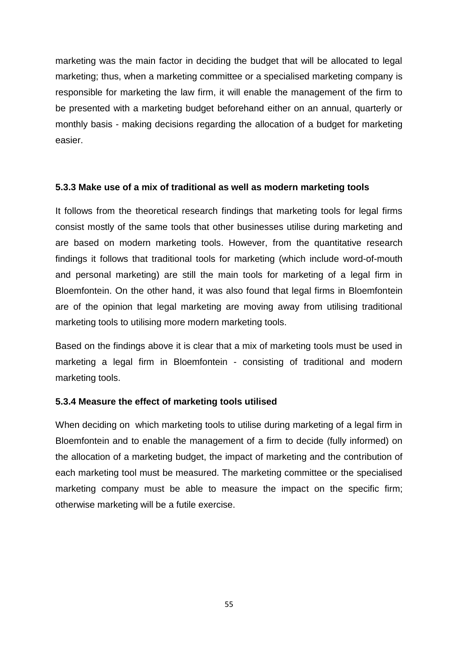marketing was the main factor in deciding the budget that will be allocated to legal marketing; thus, when a marketing committee or a specialised marketing company is responsible for marketing the law firm, it will enable the management of the firm to be presented with a marketing budget beforehand either on an annual, quarterly or monthly basis - making decisions regarding the allocation of a budget for marketing easier.

#### **5.3.3 Make use of a mix of traditional as well as modern marketing tools**

It follows from the theoretical research findings that marketing tools for legal firms consist mostly of the same tools that other businesses utilise during marketing and are based on modern marketing tools. However, from the quantitative research findings it follows that traditional tools for marketing (which include word-of-mouth and personal marketing) are still the main tools for marketing of a legal firm in Bloemfontein. On the other hand, it was also found that legal firms in Bloemfontein are of the opinion that legal marketing are moving away from utilising traditional marketing tools to utilising more modern marketing tools.

Based on the findings above it is clear that a mix of marketing tools must be used in marketing a legal firm in Bloemfontein - consisting of traditional and modern marketing tools.

#### **5.3.4 Measure the effect of marketing tools utilised**

When deciding on which marketing tools to utilise during marketing of a legal firm in Bloemfontein and to enable the management of a firm to decide (fully informed) on the allocation of a marketing budget, the impact of marketing and the contribution of each marketing tool must be measured. The marketing committee or the specialised marketing company must be able to measure the impact on the specific firm; otherwise marketing will be a futile exercise.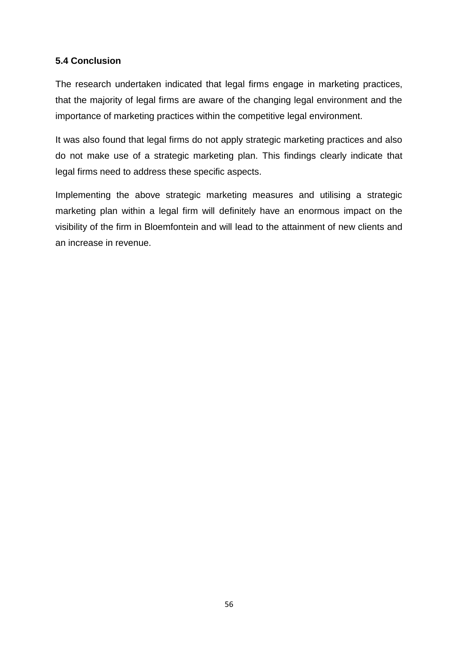## **5.4 Conclusion**

The research undertaken indicated that legal firms engage in marketing practices, that the majority of legal firms are aware of the changing legal environment and the importance of marketing practices within the competitive legal environment.

It was also found that legal firms do not apply strategic marketing practices and also do not make use of a strategic marketing plan. This findings clearly indicate that legal firms need to address these specific aspects.

Implementing the above strategic marketing measures and utilising a strategic marketing plan within a legal firm will definitely have an enormous impact on the visibility of the firm in Bloemfontein and will lead to the attainment of new clients and an increase in revenue.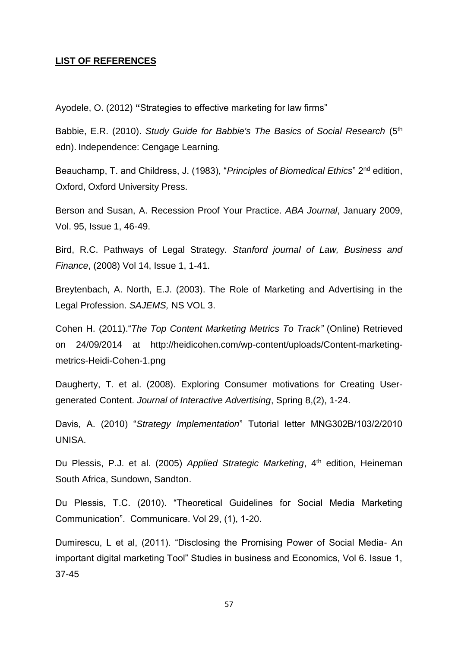#### **LIST OF REFERENCES**

Ayodele, O. (2012) **"**Strategies to effective marketing for law firms"

Babbie, E.R. (2010). *Study Guide for Babbie's The Basics of Social Research* (5th edn). Independence: Cengage Learning*.*

Beauchamp, T. and Childress, J. (1983), "*Principles of Biomedical Ethics*" 2nd edition, Oxford, Oxford University Press.

Berson and Susan, A. Recession Proof Your Practice. *ABA Journal*, January 2009, Vol. 95, Issue 1, 46-49.

Bird, R.C. Pathways of Legal Strategy. *Stanford journal of Law, Business and Finance*, (2008) Vol 14, Issue 1, 1-41.

Breytenbach, A. North, E.J. (2003). The Role of Marketing and Advertising in the Legal Profession. *SAJEMS,* NS VOL 3.

Cohen H. (2011)."*The Top Content Marketing Metrics To Track"* (Online) Retrieved on 24/09/2014 at http://heidicohen.com/wp-content/uploads/Content-marketingmetrics-Heidi-Cohen-1.png

Daugherty, T. et al. (2008). Exploring Consumer motivations for Creating Usergenerated Content. *Journal of Interactive Advertising*, Spring 8,(2), 1-24.

Davis, A. (2010) "*Strategy Implementation*" Tutorial letter MNG302B/103/2/2010 UNISA.

Du Plessis, P.J. et al. (2005) *Applied Strategic Marketing*, 4<sup>th</sup> edition, Heineman South Africa, Sundown, Sandton.

Du Plessis, T.C. (2010). "Theoretical Guidelines for Social Media Marketing Communication". Communicare. Vol 29, (1), 1-20.

Dumirescu, L et al, (2011). "Disclosing the Promising Power of Social Media- An important digital marketing Tool" Studies in business and Economics, Vol 6. Issue 1, 37-45

57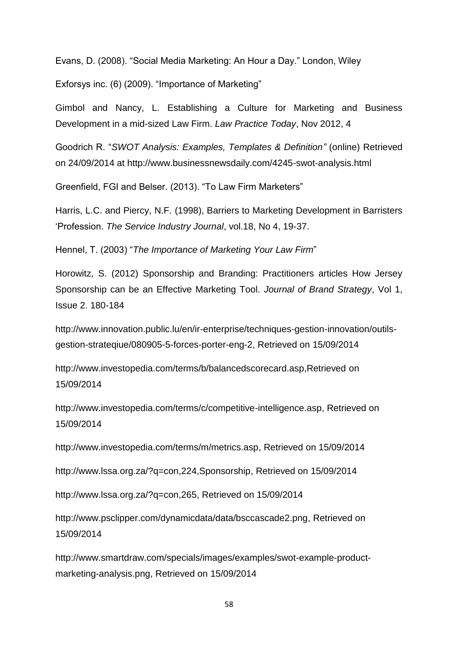Evans, D. (2008). "Social Media Marketing: An Hour a Day." London, Wiley

Exforsys inc. (6) (2009). "Importance of Marketing"

Gimbol and Nancy, L. Establishing a Culture for Marketing and Business Development in a mid-sized Law Firm. *Law Practice Today*, Nov 2012, 4

Goodrich R. "*SWOT Analysis: Examples, Templates & Definition"* (online) Retrieved on 24/09/2014 at http://www.businessnewsdaily.com/4245-swot-analysis.html

Greenfield, FGI and Belser. (2013). "To Law Firm Marketers"

Harris, L.C. and Piercy, N.F. (1998), Barriers to Marketing Development in Barristers 'Profession. *The Service Industry Journal*, vol.18, No 4, 19-37.

Hennel, T. (2003) "*The Importance of Marketing Your Law Firm*"

Horowitz, S. (2012) Sponsorship and Branding: Practitioners articles How Jersey Sponsorship can be an Effective Marketing Tool. *Journal of Brand Strategy*, Vol 1, Issue 2. 180-184

[http://www.innovation.public.lu/en/ir-enterprise/techniques-gestion-innovation/outils](http://www.innovation.public.lu/en/ir-enterprise/techniques-gestion-innovation/outils-gestion-strateqiue/080905-5-forces-porter-eng-2)[gestion-strateqiue/080905-5-forces-porter-eng-2,](http://www.innovation.public.lu/en/ir-enterprise/techniques-gestion-innovation/outils-gestion-strateqiue/080905-5-forces-porter-eng-2) Retrieved on 15/09/2014

<http://www.investopedia.com/terms/b/balancedscorecard.asp,Retrieved> on 15/09/2014

[http://www.investopedia.com/terms/c/competitive-intelligence.asp,](http://www.investopedia.com/terms/c/competitive-intelligence.asp) Retrieved on 15/09/2014

[http://www.investopedia.com/terms/m/metrics.asp,](http://www.investopedia.com/terms/m/metrics.asp) Retrieved on 15/09/2014

[http://www.lssa.org.za/?q=con,224,Sponsorship,](http://www.lssa.org.za/?q=con,224,Sponsorship) Retrieved on 15/09/2014

[http://www.lssa.org.za/?q=con,265,](http://www.lssa.org.za/?q=con,265) Retrieved on 15/09/2014

[http://www.psclipper.com/dynamicdata/data/bsccascade2.png,](http://www.psclipper.com/dynamicdata/data/bsccascade2.png) Retrieved on 15/09/2014

[http://www.smartdraw.com/specials/images/examples/swot-example-product](http://www.smartdraw.com/specials/images/examples/swot-example-product-marketing-analysis.png)[marketing-analysis.png,](http://www.smartdraw.com/specials/images/examples/swot-example-product-marketing-analysis.png) Retrieved on 15/09/2014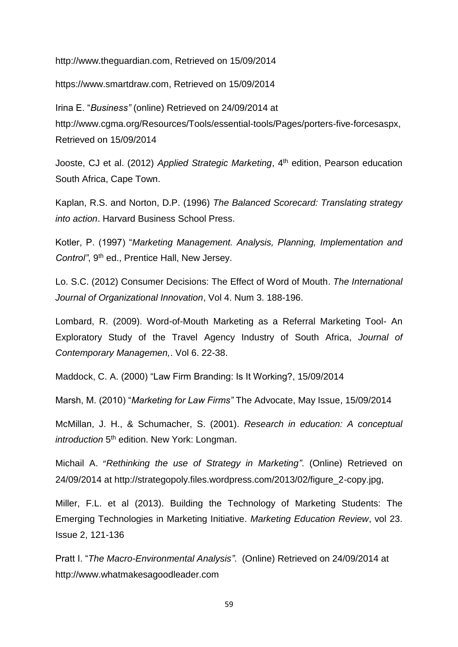http:/[/www.theguardian.com,](http://www.theguardian.com/) Retrieved on 15/09/2014

[https://www.smartdraw.com,](https://www.smartdraw.com/) Retrieved on 15/09/2014

Irina E. "*Business"* (online) Retrieved on 24/09/2014 at [http://www.cgma.org/Resources/Tools/essential-tools/Pages/porters-five-forcesaspx,](http://www.cgma.org/Resources/Tools/essential-tools/Pages/porters-five-forcesaspx) Retrieved on 15/09/2014

Jooste, CJ et al. (2012) Applied Strategic Marketing, 4<sup>th</sup> edition, Pearson education South Africa, Cape Town.

Kaplan, R.S. and Norton, D.P. (1996) *The Balanced Scorecard: Translating strategy into action*. Harvard Business School Press.

Kotler, P. (1997) "*Marketing Management. Analysis, Planning, Implementation and*  Control", 9<sup>th</sup> ed., Prentice Hall, New Jersey.

Lo. S.C. (2012) Consumer Decisions: The Effect of Word of Mouth. *The International Journal of Organizational Innovation*, Vol 4. Num 3. 188-196.

Lombard, R. (2009). Word-of-Mouth Marketing as a Referral Marketing Tool- An Exploratory Study of the Travel Agency Industry of South Africa, *Journal of Contemporary Managemen,*. Vol 6. 22-38.

Maddock, C. A. (2000) "Law Firm Branding: Is It Working?, 15/09/2014

Marsh, M. (2010) "*Marketing for Law Firms"* The Advocate, May Issue, 15/09/2014

McMillan, J. H., & Schumacher, S. (2001). *Research in education: A conceptual*  introduction 5<sup>th</sup> edition. New York: Longman.

Michail A. "*Rethinking the use of Strategy in Marketing"*. (Online) Retrieved on 24/09/2014 at [http://strategopoly.files.wordpress.com/2013/02/figure\\_2-copy.jpg,](http://strategopoly.files.wordpress.com/2013/02/figure_2-copy.jpg)

Miller, F.L. et al (2013). Building the Technology of Marketing Students: The Emerging Technologies in Marketing Initiative. *Marketing Education Review*, vol 23. Issue 2, 121-136

Pratt I. "*The Macro-Environmental Analysis"*. (Online) Retrieved on 24/09/2014 at [http://www.whatmakesagoodleader.com](http://www.whatmakesagoodleader.com/)